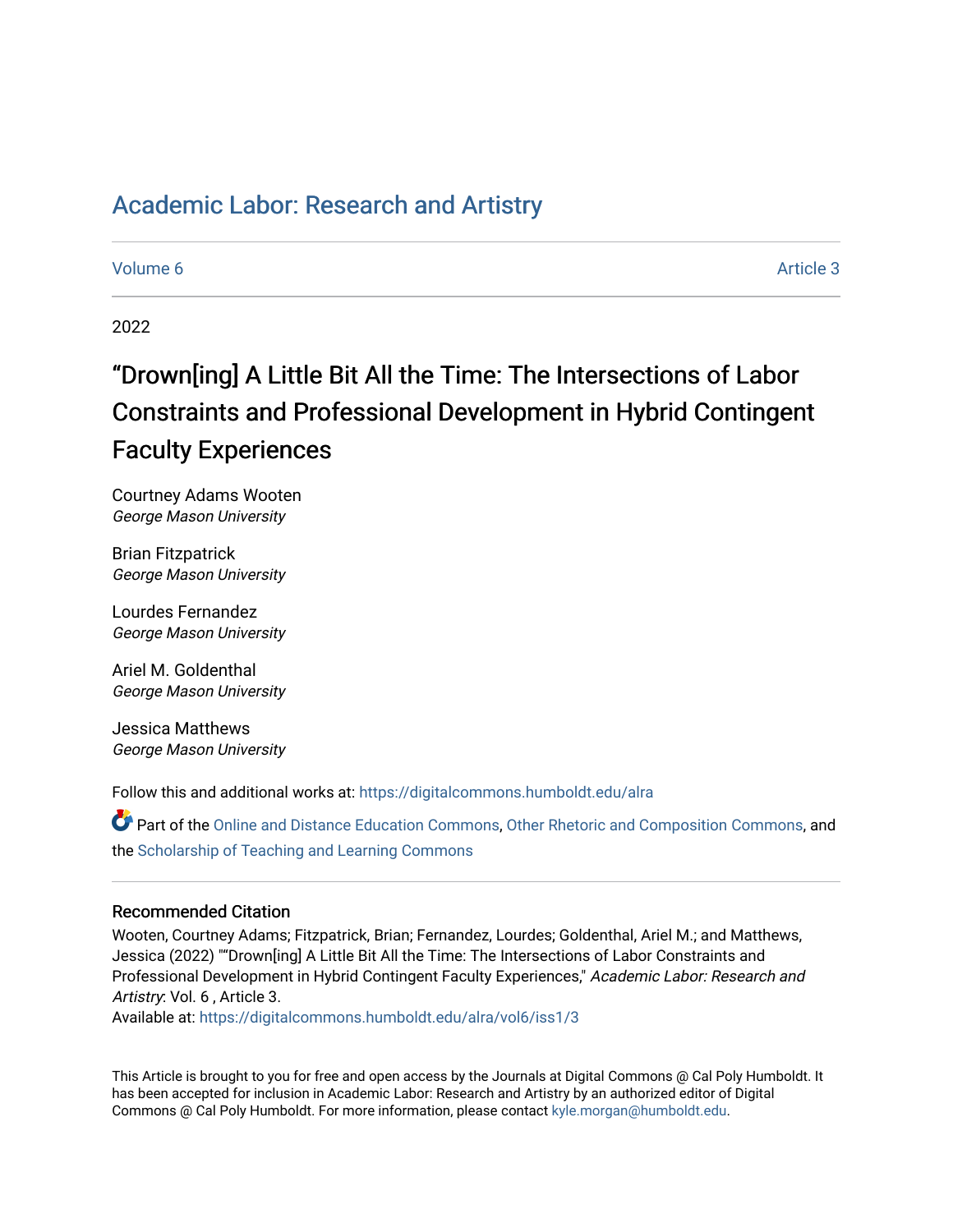# [Academic Labor: Research and Artistry](https://digitalcommons.humboldt.edu/alra)

# [Volume 6](https://digitalcommons.humboldt.edu/alra/vol6) Article 3

2022

# "Drown[ing] A Little Bit All the Time: The Intersections of Labor Constraints and Professional Development in Hybrid Contingent Faculty Experiences

Courtney Adams Wooten George Mason University

Brian Fitzpatrick George Mason University

Lourdes Fernandez George Mason University

Ariel M. Goldenthal George Mason University

Jessica Matthews George Mason University

Follow this and additional works at: [https://digitalcommons.humboldt.edu/alra](https://digitalcommons.humboldt.edu/alra?utm_source=digitalcommons.humboldt.edu%2Falra%2Fvol6%2Fiss1%2F3&utm_medium=PDF&utm_campaign=PDFCoverPages)

Part of the [Online and Distance Education Commons](http://network.bepress.com/hgg/discipline/1296?utm_source=digitalcommons.humboldt.edu%2Falra%2Fvol6%2Fiss1%2F3&utm_medium=PDF&utm_campaign=PDFCoverPages), [Other Rhetoric and Composition Commons](http://network.bepress.com/hgg/discipline/576?utm_source=digitalcommons.humboldt.edu%2Falra%2Fvol6%2Fiss1%2F3&utm_medium=PDF&utm_campaign=PDFCoverPages), and the [Scholarship of Teaching and Learning Commons](http://network.bepress.com/hgg/discipline/1328?utm_source=digitalcommons.humboldt.edu%2Falra%2Fvol6%2Fiss1%2F3&utm_medium=PDF&utm_campaign=PDFCoverPages)

# Recommended Citation

Wooten, Courtney Adams; Fitzpatrick, Brian; Fernandez, Lourdes; Goldenthal, Ariel M.; and Matthews, Jessica (2022) ""Drown[ing] A Little Bit All the Time: The Intersections of Labor Constraints and Professional Development in Hybrid Contingent Faculty Experiences," Academic Labor: Research and Artistry: Vol. 6 , Article 3.

Available at: [https://digitalcommons.humboldt.edu/alra/vol6/iss1/3](https://digitalcommons.humboldt.edu/alra/vol6/iss1/3?utm_source=digitalcommons.humboldt.edu%2Falra%2Fvol6%2Fiss1%2F3&utm_medium=PDF&utm_campaign=PDFCoverPages)

This Article is brought to you for free and open access by the Journals at Digital Commons @ Cal Poly Humboldt. It has been accepted for inclusion in Academic Labor: Research and Artistry by an authorized editor of Digital Commons @ Cal Poly Humboldt. For more information, please contact [kyle.morgan@humboldt.edu](mailto:kyle.morgan@humboldt.edu).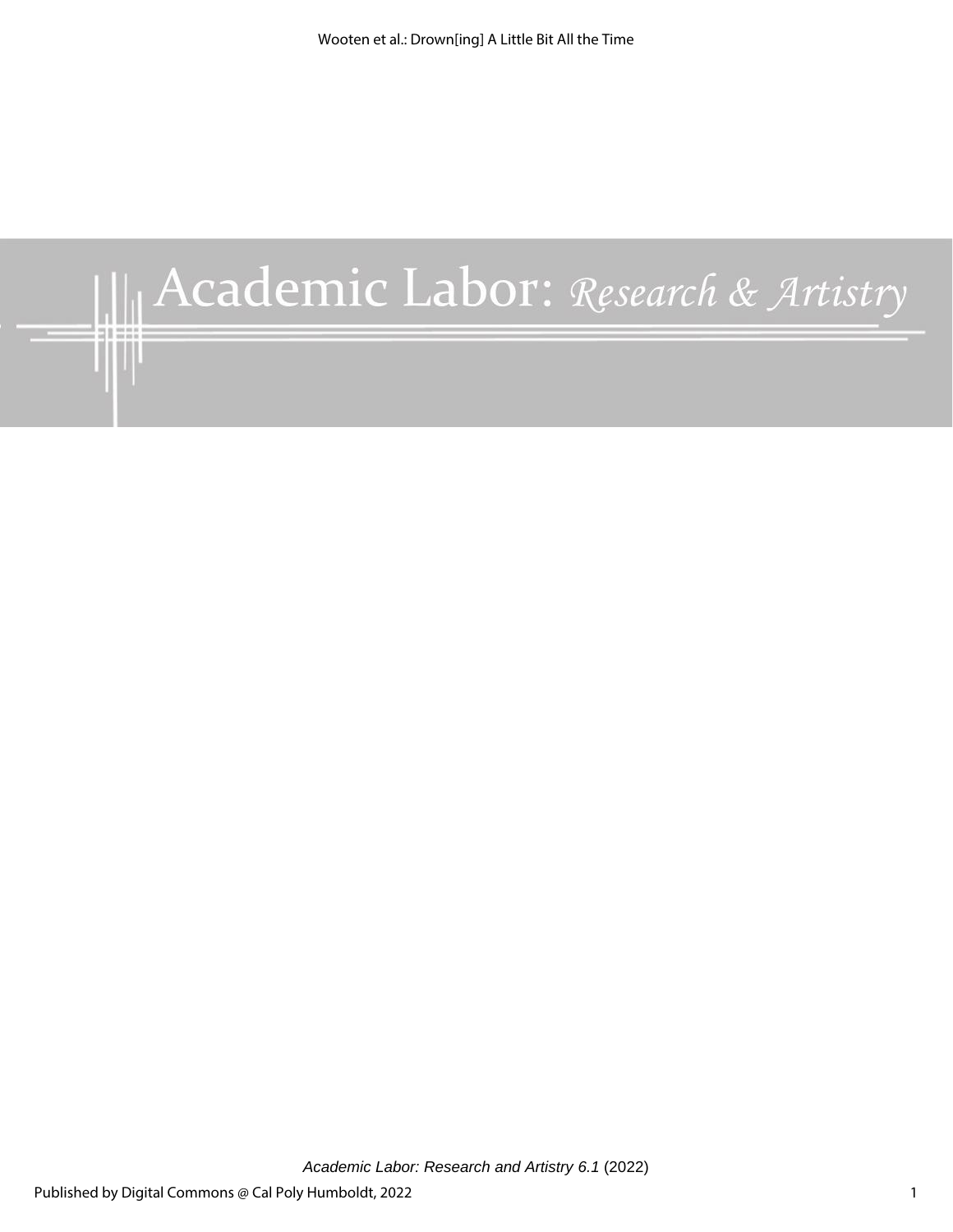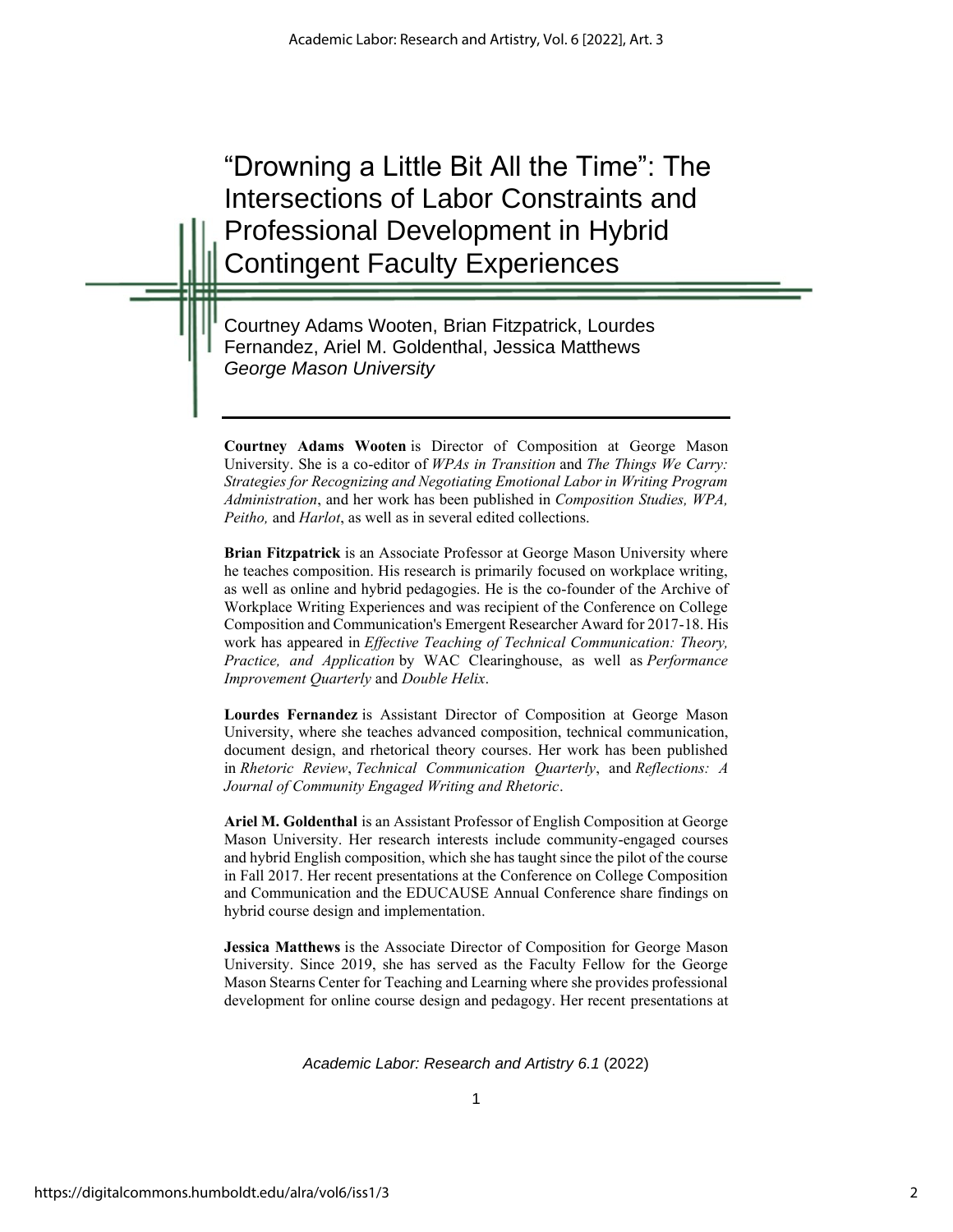"Drowning a Little Bit All the Time": The Intersections of Labor Constraints and Professional Development in Hybrid Contingent Faculty Experiences

Courtney Adams Wooten, Brian Fitzpatrick, Lourdes Fernandez, Ariel M. Goldenthal, Jessica Matthews *George Mason University*

**Courtney Adams Wooten** is Director of Composition at George Mason University. She is a co-editor of *WPAs in Transition* and *The Things We Carry: Strategies for Recognizing and Negotiating Emotional Labor in Writing Program Administration*, and her work has been published in *Composition Studies, WPA, Peitho,* and *Harlot*, as well as in several edited collections.

**Brian Fitzpatrick** is an Associate Professor at George Mason University where he teaches composition. His research is primarily focused on workplace writing, as well as online and hybrid pedagogies. He is the co-founder of the Archive of Workplace Writing Experiences and was recipient of the Conference on College Composition and Communication's Emergent Researcher Award for 2017-18. His work has appeared in *Effective Teaching of Technical Communication: Theory, Practice, and Application* by WAC Clearinghouse, as well as *Performance Improvement Quarterly* and *Double Helix*.

**Lourdes Fernandez** is Assistant Director of Composition at George Mason University, where she teaches advanced composition, technical communication, document design, and rhetorical theory courses. Her work has been published in *Rhetoric Review*, *Technical Communication Quarterly*, and *Reflections: A Journal of Community Engaged Writing and Rhetoric*.

**Ariel M. Goldenthal** is an Assistant Professor of English Composition at George Mason University. Her research interests include community-engaged courses and hybrid English composition, which she has taught since the pilot of the course in Fall 2017. Her recent presentations at the Conference on College Composition and Communication and the EDUCAUSE Annual Conference share findings on hybrid course design and implementation.

**Jessica Matthews** is the Associate Director of Composition for George Mason University. Since 2019, she has served as the Faculty Fellow for the George Mason Stearns Center for Teaching and Learning where she provides professional development for online course design and pedagogy. Her recent presentations at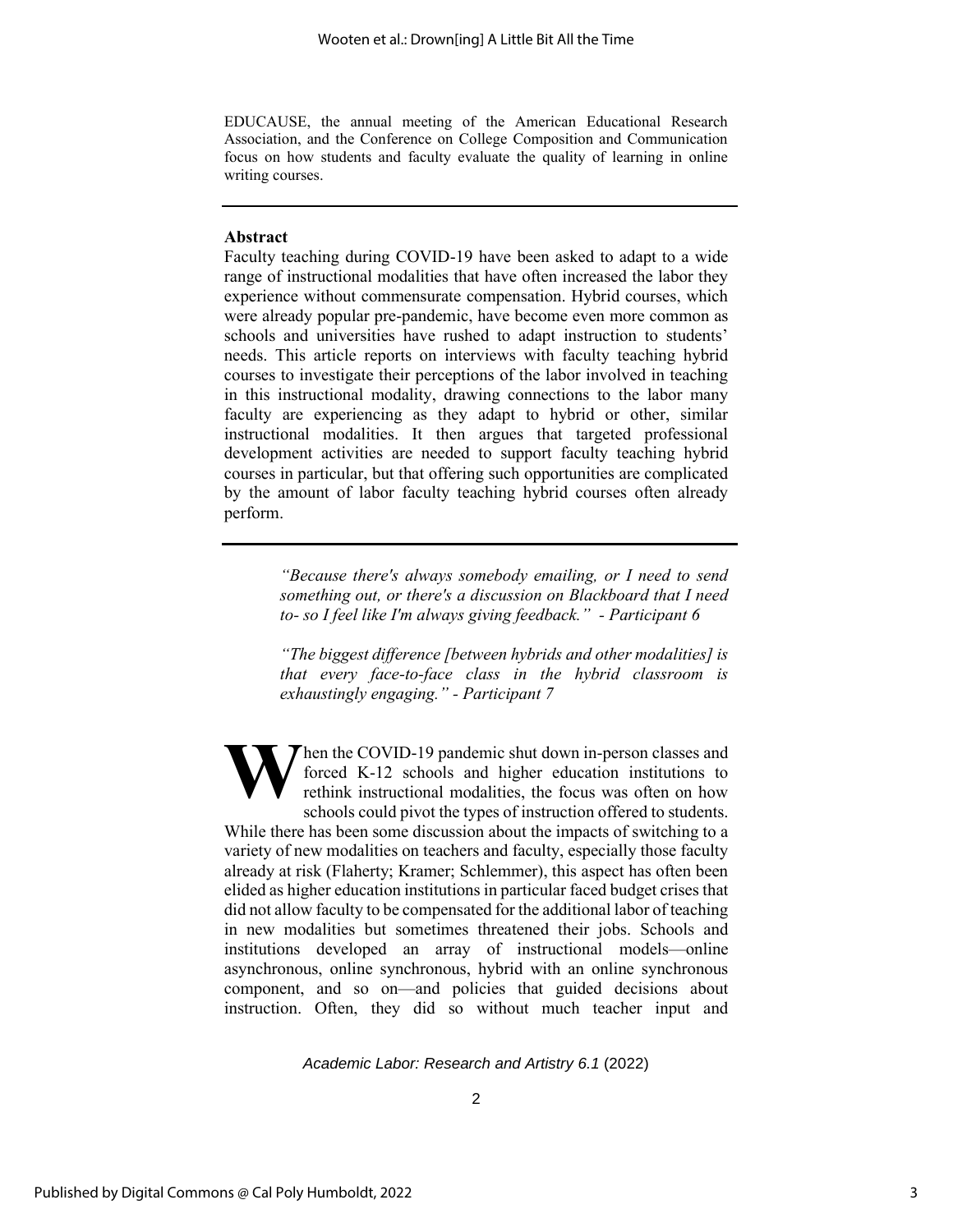EDUCAUSE, the annual meeting of the American Educational Research Association, and the Conference on College Composition and Communication focus on how students and faculty evaluate the quality of learning in online writing courses.

### **Abstract**

Faculty teaching during COVID-19 have been asked to adapt to a wide range of instructional modalities that have often increased the labor they experience without commensurate compensation. Hybrid courses, which were already popular pre-pandemic, have become even more common as schools and universities have rushed to adapt instruction to students' needs. This article reports on interviews with faculty teaching hybrid courses to investigate their perceptions of the labor involved in teaching in this instructional modality, drawing connections to the labor many faculty are experiencing as they adapt to hybrid or other, similar instructional modalities. It then argues that targeted professional development activities are needed to support faculty teaching hybrid courses in particular, but that offering such opportunities are complicated by the amount of labor faculty teaching hybrid courses often already perform.

> *"Because there's always somebody emailing, or I need to send something out, or there's a discussion on Blackboard that I need to- so I feel like I'm always giving feedback." - Participant 6*

> *"The biggest difference [between hybrids and other modalities] is that every face-to-face class in the hybrid classroom is exhaustingly engaging." - Participant 7*

Then the COVID-19 pandemic shut down in-person classes and forced K-12 schools and higher education institutions to rethink instructional modalities, the focus was often on how schools could pivot the types of instruction offered to students. While there has been some discussion about the impacts of switching to a variety of new modalities on teachers and faculty, especially those faculty already at risk (Flaherty; Kramer; Schlemmer), this aspect has often been elided as higher education institutions in particular faced budget crises that did not allow faculty to be compensated for the additional labor of teaching in new modalities but sometimes threatened their jobs. Schools and institutions developed an array of instructional models—online asynchronous, online synchronous, hybrid with an online synchronous component, and so on—and policies that guided decisions about instruction. Often, they did so without much teacher input and **W**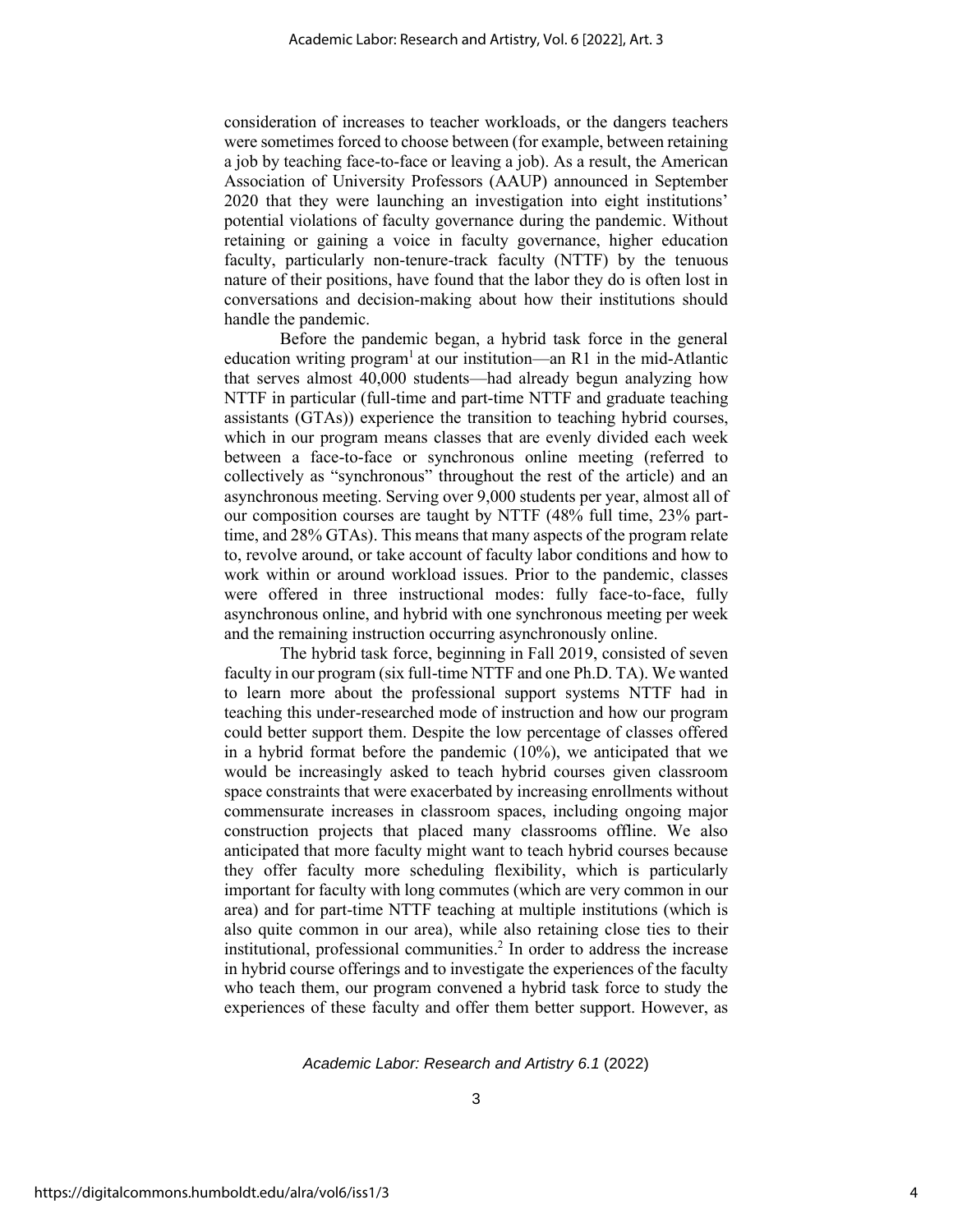consideration of increases to teacher workloads, or the dangers teachers were sometimes forced to choose between (for example, between retaining a job by teaching face-to-face or leaving a job). As a result, the American Association of University Professors (AAUP) announced in September 2020 that they were launching an investigation into eight institutions' potential violations of faculty governance during the pandemic. Without retaining or gaining a voice in faculty governance, higher education faculty, particularly non-tenure-track faculty (NTTF) by the tenuous nature of their positions, have found that the labor they do is often lost in conversations and decision-making about how their institutions should handle the pandemic.

Before the pandemic began, a hybrid task force in the general education writing program<sup>1</sup> at our institution—an R1 in the mid-Atlantic that serves almost 40,000 students—had already begun analyzing how NTTF in particular (full-time and part-time NTTF and graduate teaching assistants (GTAs)) experience the transition to teaching hybrid courses, which in our program means classes that are evenly divided each week between a face-to-face or synchronous online meeting (referred to collectively as "synchronous" throughout the rest of the article) and an asynchronous meeting. Serving over 9,000 students per year, almost all of our composition courses are taught by NTTF (48% full time, 23% parttime, and 28% GTAs). This means that many aspects of the program relate to, revolve around, or take account of faculty labor conditions and how to work within or around workload issues. Prior to the pandemic, classes were offered in three instructional modes: fully face-to-face, fully asynchronous online, and hybrid with one synchronous meeting per week and the remaining instruction occurring asynchronously online.

The hybrid task force, beginning in Fall 2019, consisted of seven faculty in our program (six full-time NTTF and one Ph.D. TA). We wanted to learn more about the professional support systems NTTF had in teaching this under-researched mode of instruction and how our program could better support them. Despite the low percentage of classes offered in a hybrid format before the pandemic (10%), we anticipated that we would be increasingly asked to teach hybrid courses given classroom space constraints that were exacerbated by increasing enrollments without commensurate increases in classroom spaces, including ongoing major construction projects that placed many classrooms offline. We also anticipated that more faculty might want to teach hybrid courses because they offer faculty more scheduling flexibility, which is particularly important for faculty with long commutes (which are very common in our area) and for part-time NTTF teaching at multiple institutions (which is also quite common in our area), while also retaining close ties to their institutional, professional communities. 2 In order to address the increase in hybrid course offerings and to investigate the experiences of the faculty who teach them, our program convened a hybrid task force to study the experiences of these faculty and offer them better support. However, as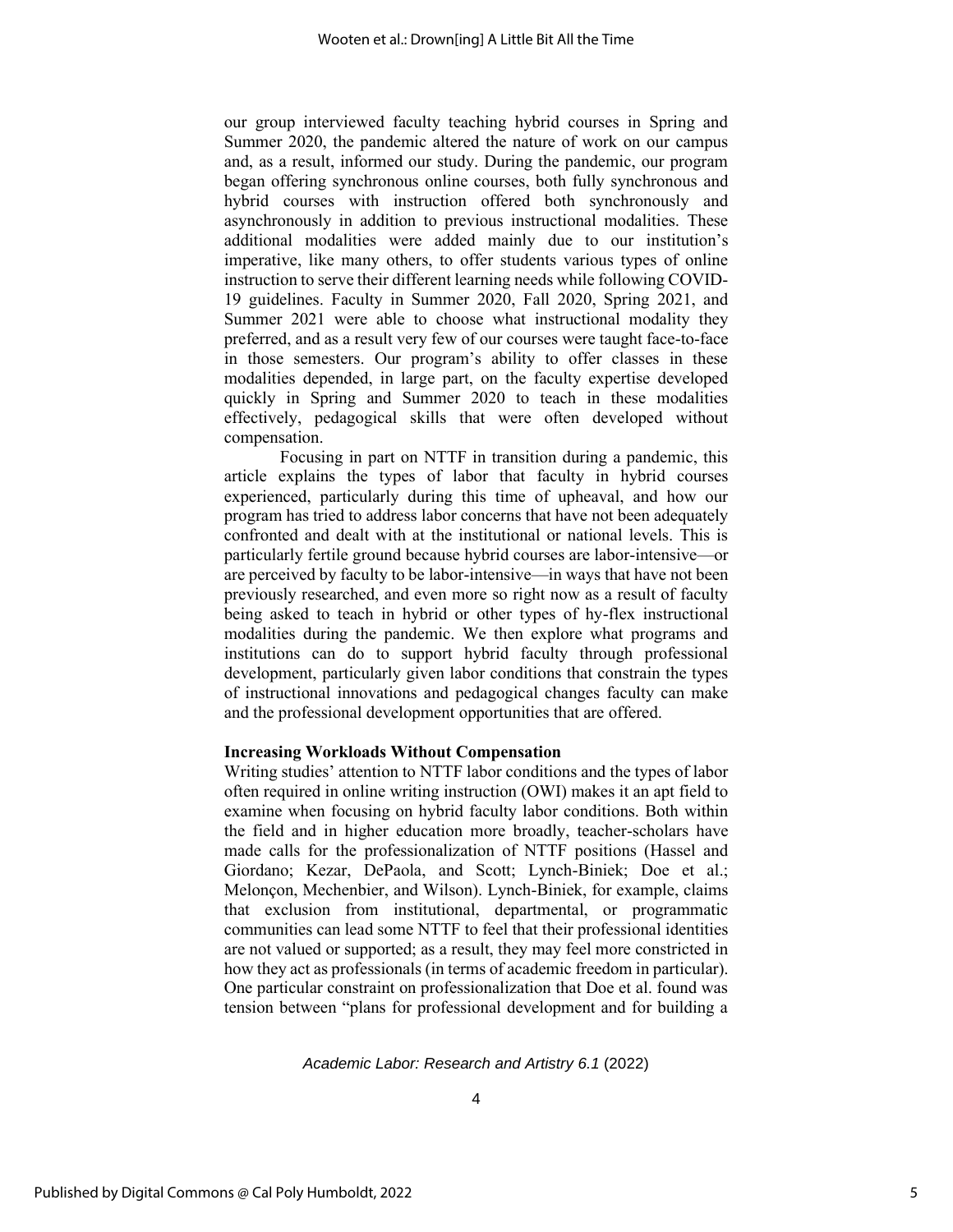our group interviewed faculty teaching hybrid courses in Spring and Summer 2020, the pandemic altered the nature of work on our campus and, as a result, informed our study. During the pandemic, our program began offering synchronous online courses, both fully synchronous and hybrid courses with instruction offered both synchronously and asynchronously in addition to previous instructional modalities. These additional modalities were added mainly due to our institution's imperative, like many others, to offer students various types of online instruction to serve their different learning needs while following COVID-19 guidelines. Faculty in Summer 2020, Fall 2020, Spring 2021, and Summer 2021 were able to choose what instructional modality they preferred, and as a result very few of our courses were taught face-to-face in those semesters. Our program's ability to offer classes in these modalities depended, in large part, on the faculty expertise developed quickly in Spring and Summer 2020 to teach in these modalities effectively, pedagogical skills that were often developed without compensation.

Focusing in part on NTTF in transition during a pandemic, this article explains the types of labor that faculty in hybrid courses experienced, particularly during this time of upheaval, and how our program has tried to address labor concerns that have not been adequately confronted and dealt with at the institutional or national levels. This is particularly fertile ground because hybrid courses are labor-intensive—or are perceived by faculty to be labor-intensive—in ways that have not been previously researched, and even more so right now as a result of faculty being asked to teach in hybrid or other types of hy-flex instructional modalities during the pandemic. We then explore what programs and institutions can do to support hybrid faculty through professional development, particularly given labor conditions that constrain the types of instructional innovations and pedagogical changes faculty can make and the professional development opportunities that are offered.

# **Increasing Workloads Without Compensation**

Writing studies' attention to NTTF labor conditions and the types of labor often required in online writing instruction (OWI) makes it an apt field to examine when focusing on hybrid faculty labor conditions. Both within the field and in higher education more broadly, teacher-scholars have made calls for the professionalization of NTTF positions (Hassel and Giordano; Kezar, DePaola, and Scott; Lynch-Biniek; Doe et al.; Melonçon, Mechenbier, and Wilson). Lynch-Biniek, for example, claims that exclusion from institutional, departmental, or programmatic communities can lead some NTTF to feel that their professional identities are not valued or supported; as a result, they may feel more constricted in how they act as professionals (in terms of academic freedom in particular). One particular constraint on professionalization that Doe et al. found was tension between "plans for professional development and for building a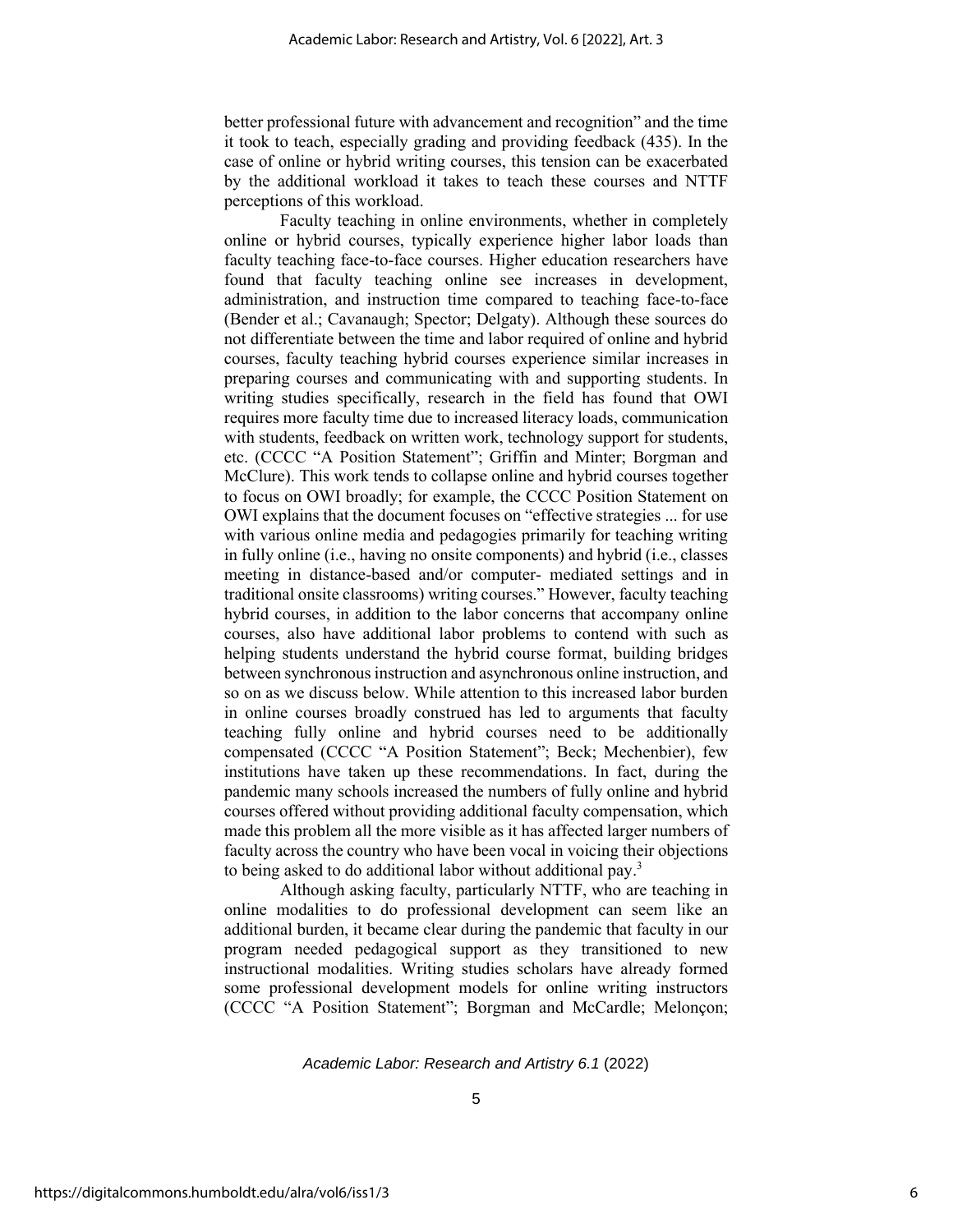better professional future with advancement and recognition" and the time it took to teach, especially grading and providing feedback (435). In the case of online or hybrid writing courses, this tension can be exacerbated by the additional workload it takes to teach these courses and NTTF perceptions of this workload.

Faculty teaching in online environments, whether in completely online or hybrid courses, typically experience higher labor loads than faculty teaching face-to-face courses. Higher education researchers have found that faculty teaching online see increases in development, administration, and instruction time compared to teaching face-to-face (Bender et al.; Cavanaugh; Spector; Delgaty). Although these sources do not differentiate between the time and labor required of online and hybrid courses, faculty teaching hybrid courses experience similar increases in preparing courses and communicating with and supporting students. In writing studies specifically, research in the field has found that OWI requires more faculty time due to increased literacy loads, communication with students, feedback on written work, technology support for students, etc. (CCCC "A Position Statement"; Griffin and Minter; Borgman and McClure). This work tends to collapse online and hybrid courses together to focus on OWI broadly; for example, the CCCC Position Statement on OWI explains that the document focuses on "effective strategies ... for use with various online media and pedagogies primarily for teaching writing in fully online (i.e., having no onsite components) and hybrid (i.e., classes meeting in distance-based and/or computer- mediated settings and in traditional onsite classrooms) writing courses." However, faculty teaching hybrid courses, in addition to the labor concerns that accompany online courses, also have additional labor problems to contend with such as helping students understand the hybrid course format, building bridges between synchronous instruction and asynchronous online instruction, and so on as we discuss below. While attention to this increased labor burden in online courses broadly construed has led to arguments that faculty teaching fully online and hybrid courses need to be additionally compensated (CCCC "A Position Statement"; Beck; Mechenbier), few institutions have taken up these recommendations. In fact, during the pandemic many schools increased the numbers of fully online and hybrid courses offered without providing additional faculty compensation, which made this problem all the more visible as it has affected larger numbers of faculty across the country who have been vocal in voicing their objections to being asked to do additional labor without additional pay.<sup>3</sup>

Although asking faculty, particularly NTTF, who are teaching in online modalities to do professional development can seem like an additional burden, it became clear during the pandemic that faculty in our program needed pedagogical support as they transitioned to new instructional modalities. Writing studies scholars have already formed some professional development models for online writing instructors (CCCC "A Position Statement"; Borgman and McCardle; Melonçon;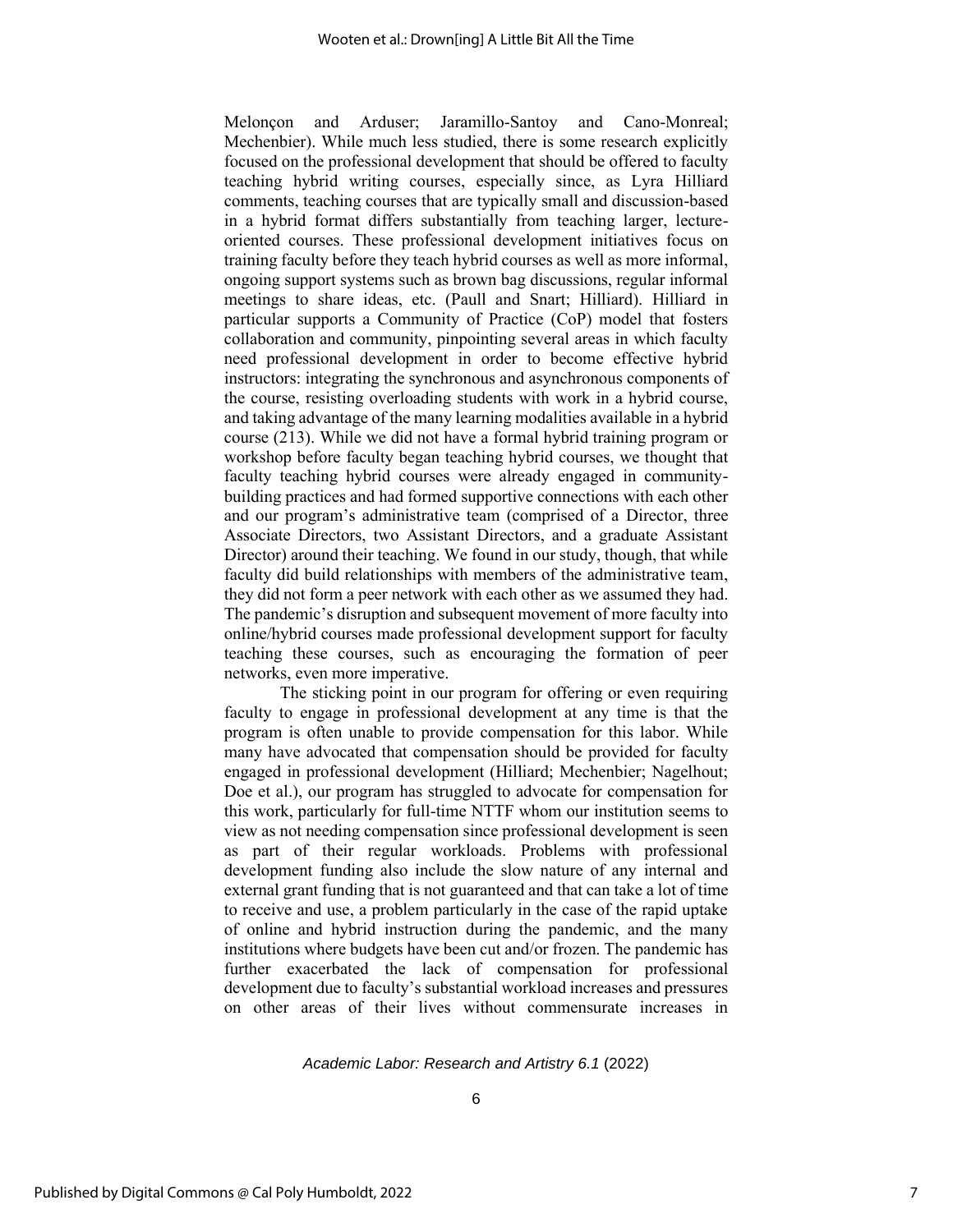Melonçon and Arduser; Jaramillo-Santoy and Cano-Monreal; Mechenbier). While much less studied, there is some research explicitly focused on the professional development that should be offered to faculty teaching hybrid writing courses, especially since, as Lyra Hilliard comments, teaching courses that are typically small and discussion-based in a hybrid format differs substantially from teaching larger, lectureoriented courses. These professional development initiatives focus on training faculty before they teach hybrid courses as well as more informal, ongoing support systems such as brown bag discussions, regular informal meetings to share ideas, etc. (Paull and Snart; Hilliard). Hilliard in particular supports a Community of Practice (CoP) model that fosters collaboration and community, pinpointing several areas in which faculty need professional development in order to become effective hybrid instructors: integrating the synchronous and asynchronous components of the course, resisting overloading students with work in a hybrid course, and taking advantage of the many learning modalities available in a hybrid course (213). While we did not have a formal hybrid training program or workshop before faculty began teaching hybrid courses, we thought that faculty teaching hybrid courses were already engaged in communitybuilding practices and had formed supportive connections with each other and our program's administrative team (comprised of a Director, three Associate Directors, two Assistant Directors, and a graduate Assistant Director) around their teaching. We found in our study, though, that while faculty did build relationships with members of the administrative team, they did not form a peer network with each other as we assumed they had. The pandemic's disruption and subsequent movement of more faculty into online/hybrid courses made professional development support for faculty teaching these courses, such as encouraging the formation of peer networks, even more imperative.

The sticking point in our program for offering or even requiring faculty to engage in professional development at any time is that the program is often unable to provide compensation for this labor. While many have advocated that compensation should be provided for faculty engaged in professional development (Hilliard; Mechenbier; Nagelhout; Doe et al.), our program has struggled to advocate for compensation for this work, particularly for full-time NTTF whom our institution seems to view as not needing compensation since professional development is seen as part of their regular workloads. Problems with professional development funding also include the slow nature of any internal and external grant funding that is not guaranteed and that can take a lot of time to receive and use, a problem particularly in the case of the rapid uptake of online and hybrid instruction during the pandemic, and the many institutions where budgets have been cut and/or frozen. The pandemic has further exacerbated the lack of compensation for professional development due to faculty's substantial workload increases and pressures on other areas of their lives without commensurate increases in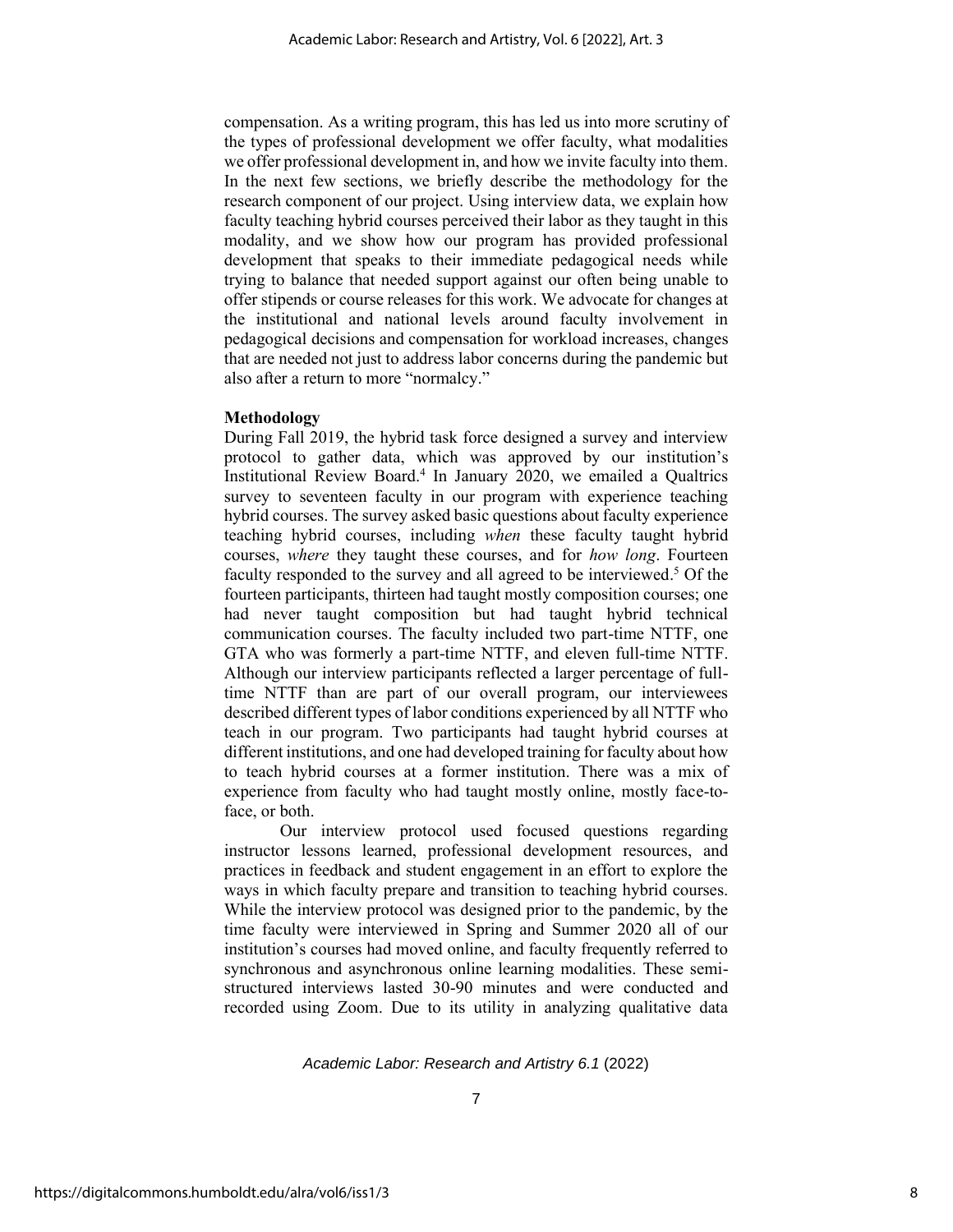compensation. As a writing program, this has led us into more scrutiny of the types of professional development we offer faculty, what modalities we offer professional development in, and how we invite faculty into them. In the next few sections, we briefly describe the methodology for the research component of our project. Using interview data, we explain how faculty teaching hybrid courses perceived their labor as they taught in this modality, and we show how our program has provided professional development that speaks to their immediate pedagogical needs while trying to balance that needed support against our often being unable to offer stipends or course releases for this work. We advocate for changes at the institutional and national levels around faculty involvement in pedagogical decisions and compensation for workload increases, changes that are needed not just to address labor concerns during the pandemic but also after a return to more "normalcy."

# **Methodology**

During Fall 2019, the hybrid task force designed a survey and interview protocol to gather data, which was approved by our institution's Institutional Review Board. 4 In January 2020, we emailed a Qualtrics survey to seventeen faculty in our program with experience teaching hybrid courses. The survey asked basic questions about faculty experience teaching hybrid courses, including *when* these faculty taught hybrid courses, *where* they taught these courses, and for *how long*. Fourteen faculty responded to the survey and all agreed to be interviewed. <sup>5</sup> Of the fourteen participants, thirteen had taught mostly composition courses; one had never taught composition but had taught hybrid technical communication courses. The faculty included two part-time NTTF, one GTA who was formerly a part-time NTTF, and eleven full-time NTTF. Although our interview participants reflected a larger percentage of fulltime NTTF than are part of our overall program, our interviewees described different types of labor conditions experienced by all NTTF who teach in our program. Two participants had taught hybrid courses at different institutions, and one had developed training for faculty about how to teach hybrid courses at a former institution. There was a mix of experience from faculty who had taught mostly online, mostly face-toface, or both.

Our interview protocol used focused questions regarding instructor lessons learned, professional development resources, and practices in feedback and student engagement in an effort to explore the ways in which faculty prepare and transition to teaching hybrid courses. While the interview protocol was designed prior to the pandemic, by the time faculty were interviewed in Spring and Summer 2020 all of our institution's courses had moved online, and faculty frequently referred to synchronous and asynchronous online learning modalities. These semistructured interviews lasted 30-90 minutes and were conducted and recorded using Zoom. Due to its utility in analyzing qualitative data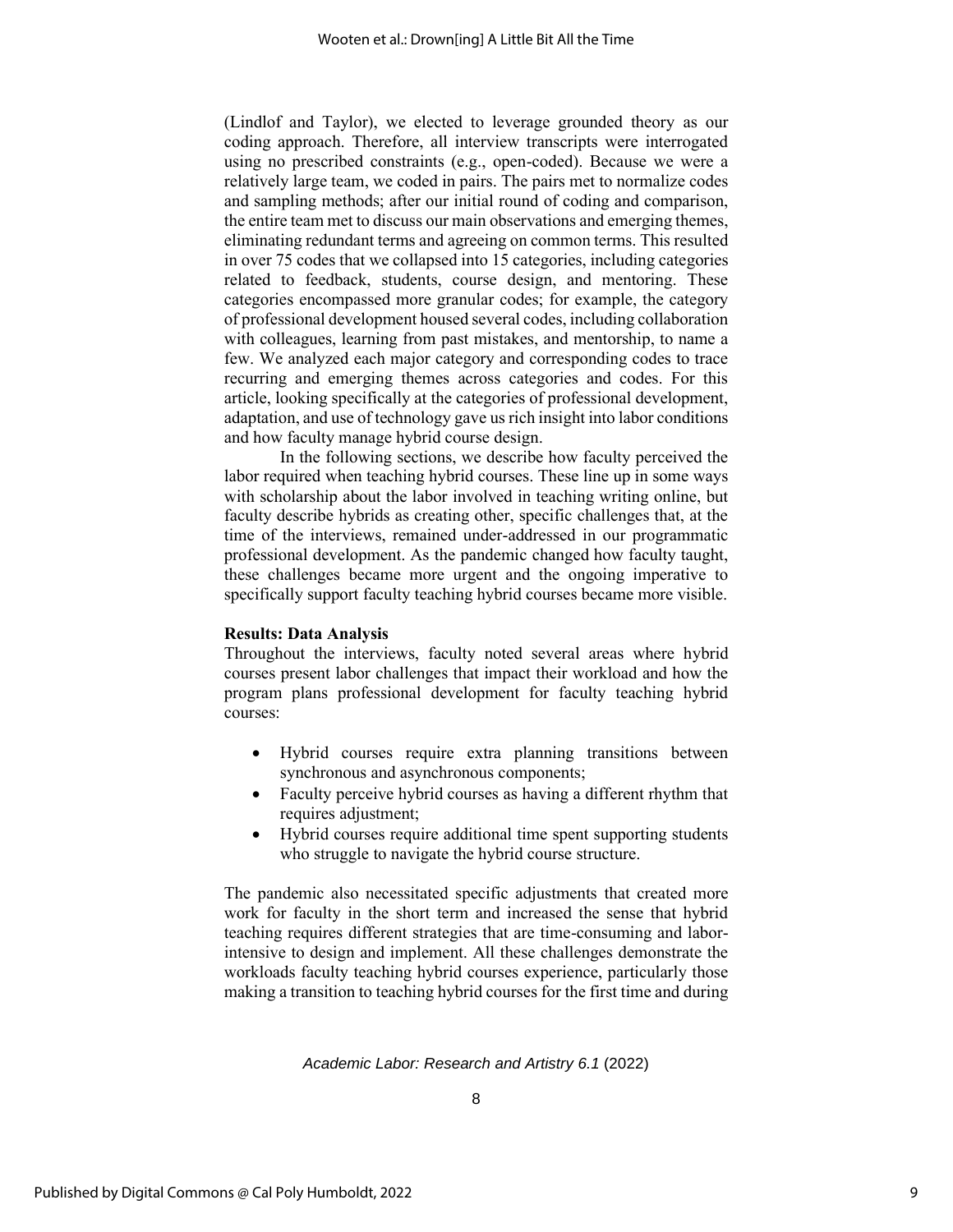(Lindlof and Taylor), we elected to leverage grounded theory as our coding approach. Therefore, all interview transcripts were interrogated using no prescribed constraints (e.g., open-coded). Because we were a relatively large team, we coded in pairs. The pairs met to normalize codes and sampling methods; after our initial round of coding and comparison, the entire team met to discuss our main observations and emerging themes, eliminating redundant terms and agreeing on common terms. This resulted in over 75 codes that we collapsed into 15 categories, including categories related to feedback, students, course design, and mentoring. These categories encompassed more granular codes; for example, the category of professional development housed several codes, including collaboration with colleagues, learning from past mistakes, and mentorship, to name a few. We analyzed each major category and corresponding codes to trace recurring and emerging themes across categories and codes. For this article, looking specifically at the categories of professional development, adaptation, and use of technology gave us rich insight into labor conditions and how faculty manage hybrid course design.

In the following sections, we describe how faculty perceived the labor required when teaching hybrid courses. These line up in some ways with scholarship about the labor involved in teaching writing online, but faculty describe hybrids as creating other, specific challenges that, at the time of the interviews, remained under-addressed in our programmatic professional development. As the pandemic changed how faculty taught, these challenges became more urgent and the ongoing imperative to specifically support faculty teaching hybrid courses became more visible.

# **Results: Data Analysis**

Throughout the interviews, faculty noted several areas where hybrid courses present labor challenges that impact their workload and how the program plans professional development for faculty teaching hybrid courses:

- Hybrid courses require extra planning transitions between synchronous and asynchronous components;
- Faculty perceive hybrid courses as having a different rhythm that requires adjustment;
- Hybrid courses require additional time spent supporting students who struggle to navigate the hybrid course structure.

The pandemic also necessitated specific adjustments that created more work for faculty in the short term and increased the sense that hybrid teaching requires different strategies that are time-consuming and laborintensive to design and implement. All these challenges demonstrate the workloads faculty teaching hybrid courses experience, particularly those making a transition to teaching hybrid courses for the first time and during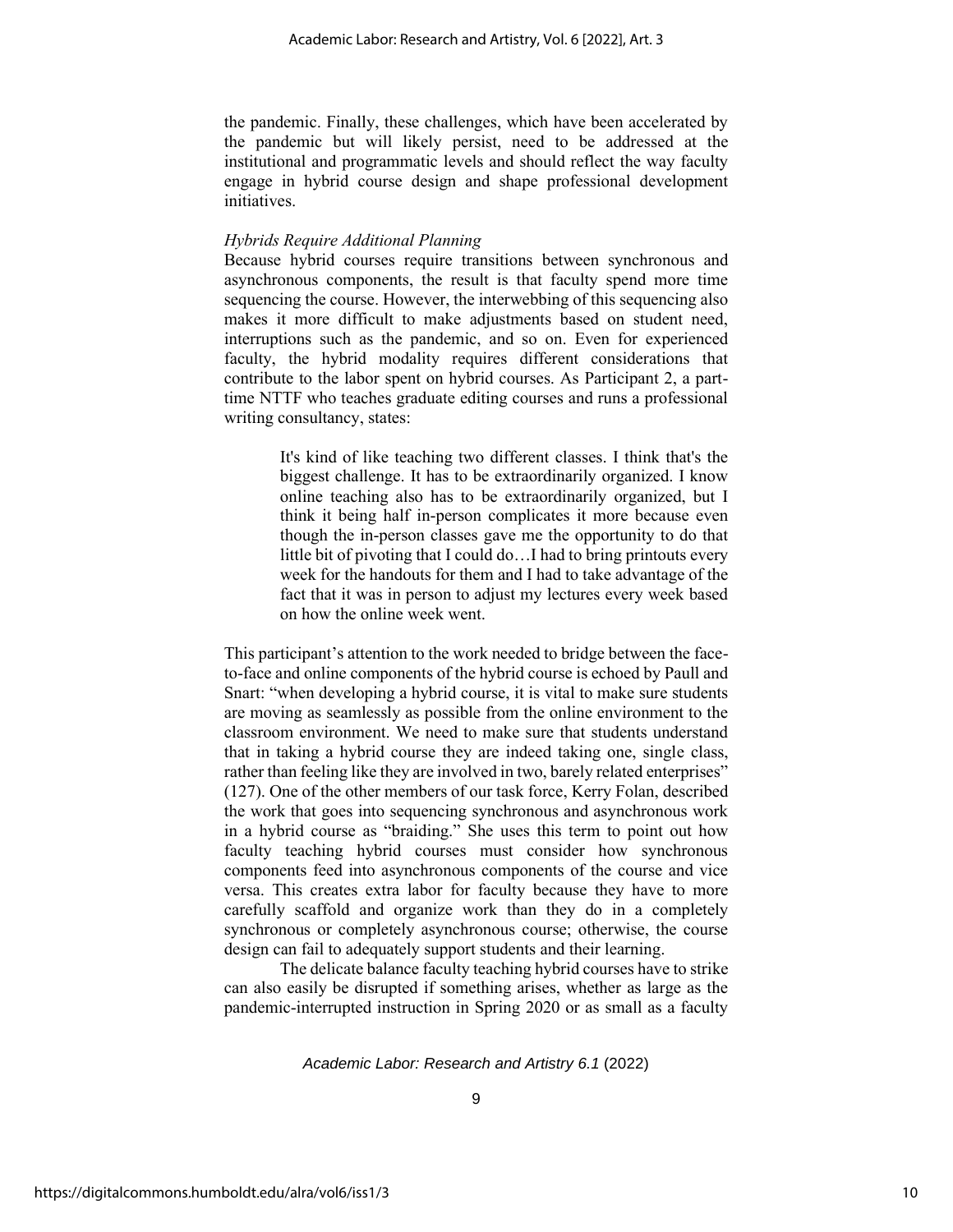the pandemic. Finally, these challenges, which have been accelerated by the pandemic but will likely persist, need to be addressed at the institutional and programmatic levels and should reflect the way faculty engage in hybrid course design and shape professional development initiatives.

# *Hybrids Require Additional Planning*

Because hybrid courses require transitions between synchronous and asynchronous components, the result is that faculty spend more time sequencing the course. However, the interwebbing of this sequencing also makes it more difficult to make adjustments based on student need, interruptions such as the pandemic, and so on. Even for experienced faculty, the hybrid modality requires different considerations that contribute to the labor spent on hybrid courses. As Participant 2, a parttime NTTF who teaches graduate editing courses and runs a professional writing consultancy, states:

> It's kind of like teaching two different classes. I think that's the biggest challenge. It has to be extraordinarily organized. I know online teaching also has to be extraordinarily organized, but I think it being half in-person complicates it more because even though the in-person classes gave me the opportunity to do that little bit of pivoting that I could do…I had to bring printouts every week for the handouts for them and I had to take advantage of the fact that it was in person to adjust my lectures every week based on how the online week went.

This participant's attention to the work needed to bridge between the faceto-face and online components of the hybrid course is echoed by Paull and Snart: "when developing a hybrid course, it is vital to make sure students are moving as seamlessly as possible from the online environment to the classroom environment. We need to make sure that students understand that in taking a hybrid course they are indeed taking one, single class, rather than feeling like they are involved in two, barely related enterprises" (127). One of the other members of our task force, Kerry Folan, described the work that goes into sequencing synchronous and asynchronous work in a hybrid course as "braiding." She uses this term to point out how faculty teaching hybrid courses must consider how synchronous components feed into asynchronous components of the course and vice versa. This creates extra labor for faculty because they have to more carefully scaffold and organize work than they do in a completely synchronous or completely asynchronous course; otherwise, the course design can fail to adequately support students and their learning.

The delicate balance faculty teaching hybrid courses have to strike can also easily be disrupted if something arises, whether as large as the pandemic-interrupted instruction in Spring 2020 or as small as a faculty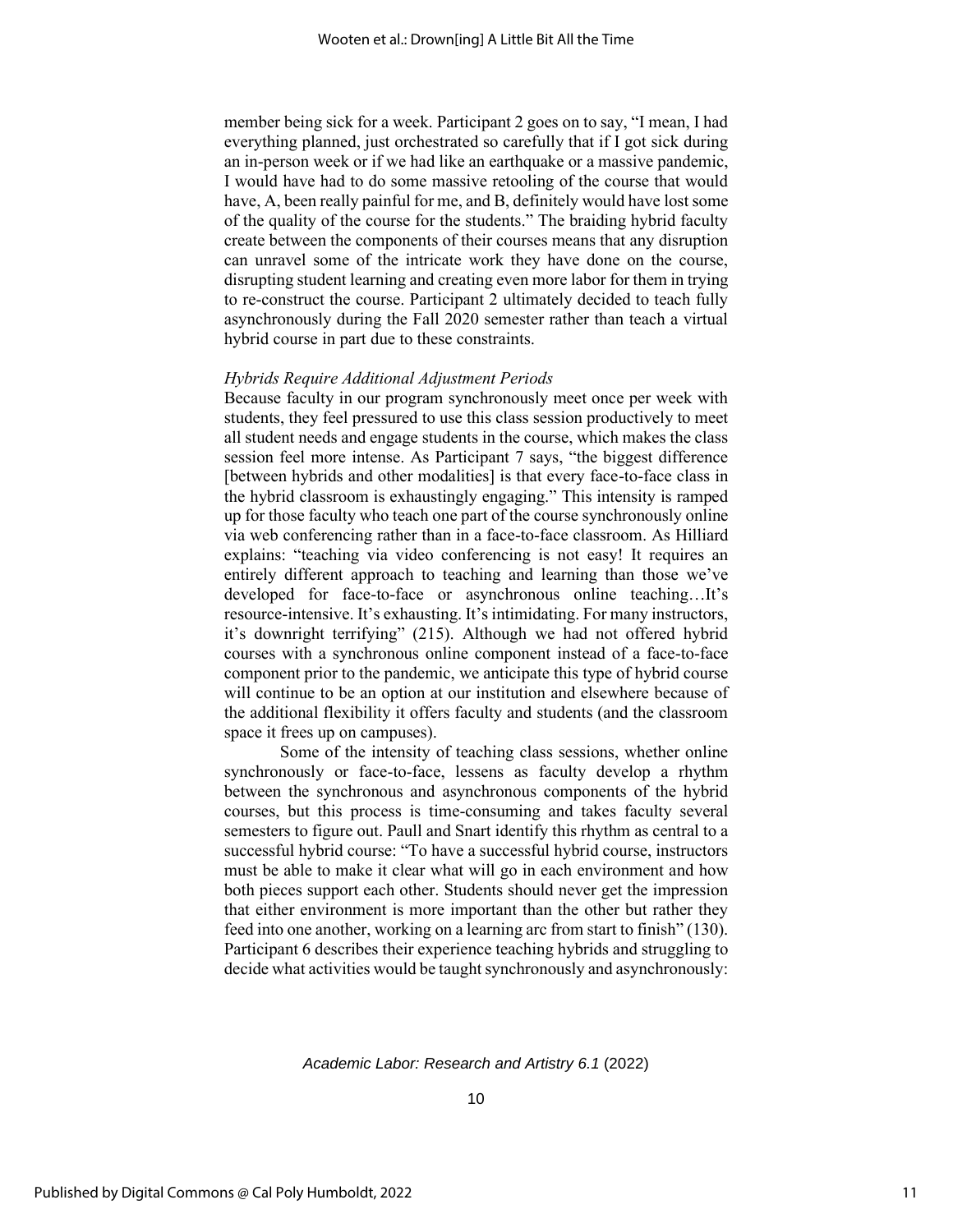member being sick for a week. Participant 2 goes on to say, "I mean, I had everything planned, just orchestrated so carefully that if I got sick during an in-person week or if we had like an earthquake or a massive pandemic, I would have had to do some massive retooling of the course that would have, A, been really painful for me, and B, definitely would have lost some of the quality of the course for the students." The braiding hybrid faculty create between the components of their courses means that any disruption can unravel some of the intricate work they have done on the course, disrupting student learning and creating even more labor for them in trying to re-construct the course. Participant 2 ultimately decided to teach fully asynchronously during the Fall 2020 semester rather than teach a virtual hybrid course in part due to these constraints.

#### *Hybrids Require Additional Adjustment Periods*

Because faculty in our program synchronously meet once per week with students, they feel pressured to use this class session productively to meet all student needs and engage students in the course, which makes the class session feel more intense. As Participant 7 says, "the biggest difference [between hybrids and other modalities] is that every face-to-face class in the hybrid classroom is exhaustingly engaging." This intensity is ramped up for those faculty who teach one part of the course synchronously online via web conferencing rather than in a face-to-face classroom. As Hilliard explains: "teaching via video conferencing is not easy! It requires an entirely different approach to teaching and learning than those we've developed for face-to-face or asynchronous online teaching…It's resource-intensive. It's exhausting. It's intimidating. For many instructors, it's downright terrifying" (215). Although we had not offered hybrid courses with a synchronous online component instead of a face-to-face component prior to the pandemic, we anticipate this type of hybrid course will continue to be an option at our institution and elsewhere because of the additional flexibility it offers faculty and students (and the classroom space it frees up on campuses).

Some of the intensity of teaching class sessions, whether online synchronously or face-to-face, lessens as faculty develop a rhythm between the synchronous and asynchronous components of the hybrid courses, but this process is time-consuming and takes faculty several semesters to figure out. Paull and Snart identify this rhythm as central to a successful hybrid course: "To have a successful hybrid course, instructors must be able to make it clear what will go in each environment and how both pieces support each other. Students should never get the impression that either environment is more important than the other but rather they feed into one another, working on a learning arc from start to finish" (130). Participant 6 describes their experience teaching hybrids and struggling to decide what activities would be taught synchronously and asynchronously: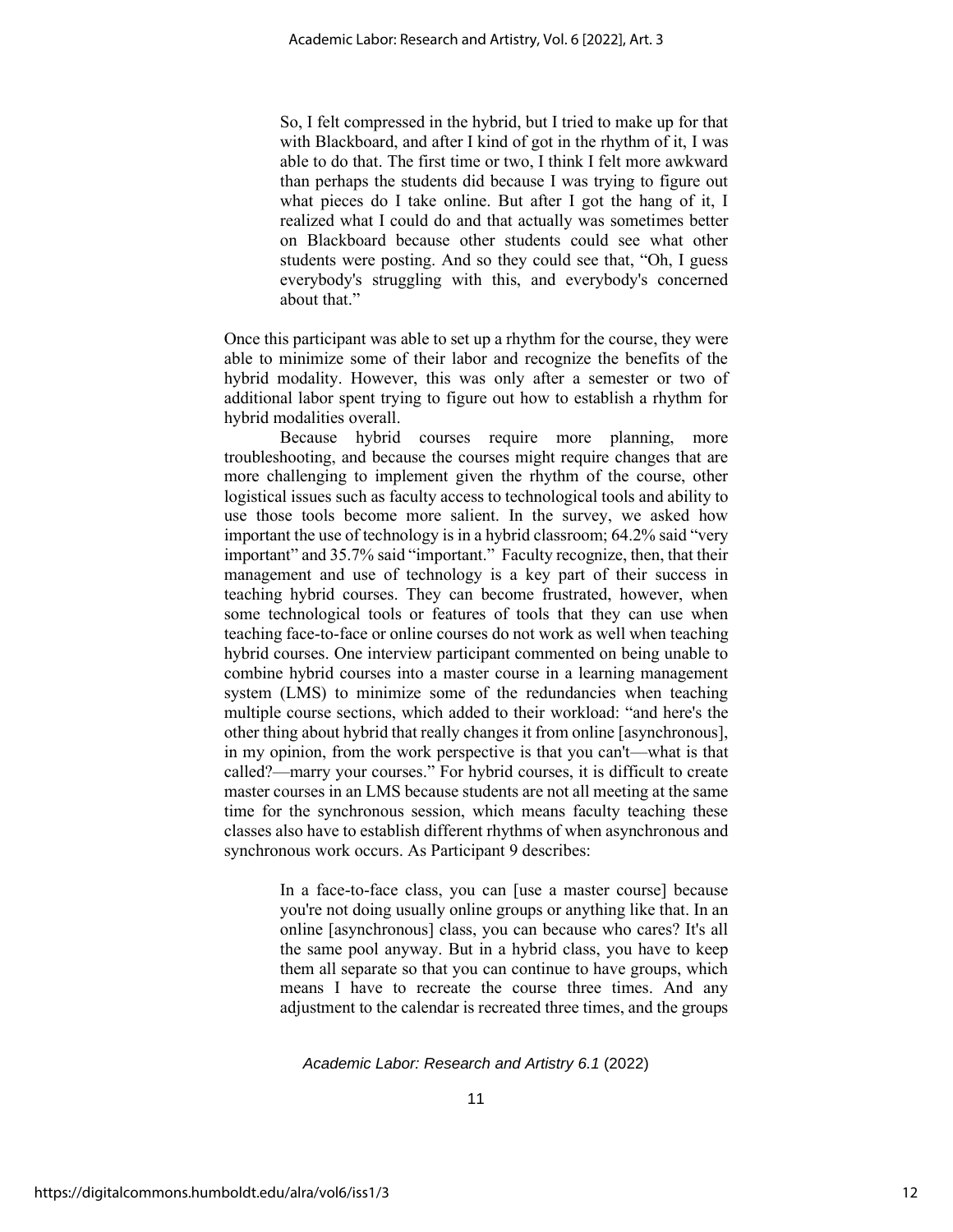So, I felt compressed in the hybrid, but I tried to make up for that with Blackboard, and after I kind of got in the rhythm of it, I was able to do that. The first time or two, I think I felt more awkward than perhaps the students did because I was trying to figure out what pieces do I take online. But after I got the hang of it, I realized what I could do and that actually was sometimes better on Blackboard because other students could see what other students were posting. And so they could see that, "Oh, I guess everybody's struggling with this, and everybody's concerned about that."

Once this participant was able to set up a rhythm for the course, they were able to minimize some of their labor and recognize the benefits of the hybrid modality. However, this was only after a semester or two of additional labor spent trying to figure out how to establish a rhythm for hybrid modalities overall.

Because hybrid courses require more planning, more troubleshooting, and because the courses might require changes that are more challenging to implement given the rhythm of the course, other logistical issues such as faculty access to technological tools and ability to use those tools become more salient. In the survey, we asked how important the use of technology is in a hybrid classroom; 64.2% said "very important" and 35.7% said "important." Faculty recognize, then, that their management and use of technology is a key part of their success in teaching hybrid courses. They can become frustrated, however, when some technological tools or features of tools that they can use when teaching face-to-face or online courses do not work as well when teaching hybrid courses. One interview participant commented on being unable to combine hybrid courses into a master course in a learning management system (LMS) to minimize some of the redundancies when teaching multiple course sections, which added to their workload: "and here's the other thing about hybrid that really changes it from online [asynchronous], in my opinion, from the work perspective is that you can't—what is that called?—marry your courses." For hybrid courses, it is difficult to create master courses in an LMS because students are not all meeting at the same time for the synchronous session, which means faculty teaching these classes also have to establish different rhythms of when asynchronous and synchronous work occurs. As Participant 9 describes:

> In a face-to-face class, you can [use a master course] because you're not doing usually online groups or anything like that. In an online [asynchronous] class, you can because who cares? It's all the same pool anyway. But in a hybrid class, you have to keep them all separate so that you can continue to have groups, which means I have to recreate the course three times. And any adjustment to the calendar is recreated three times, and the groups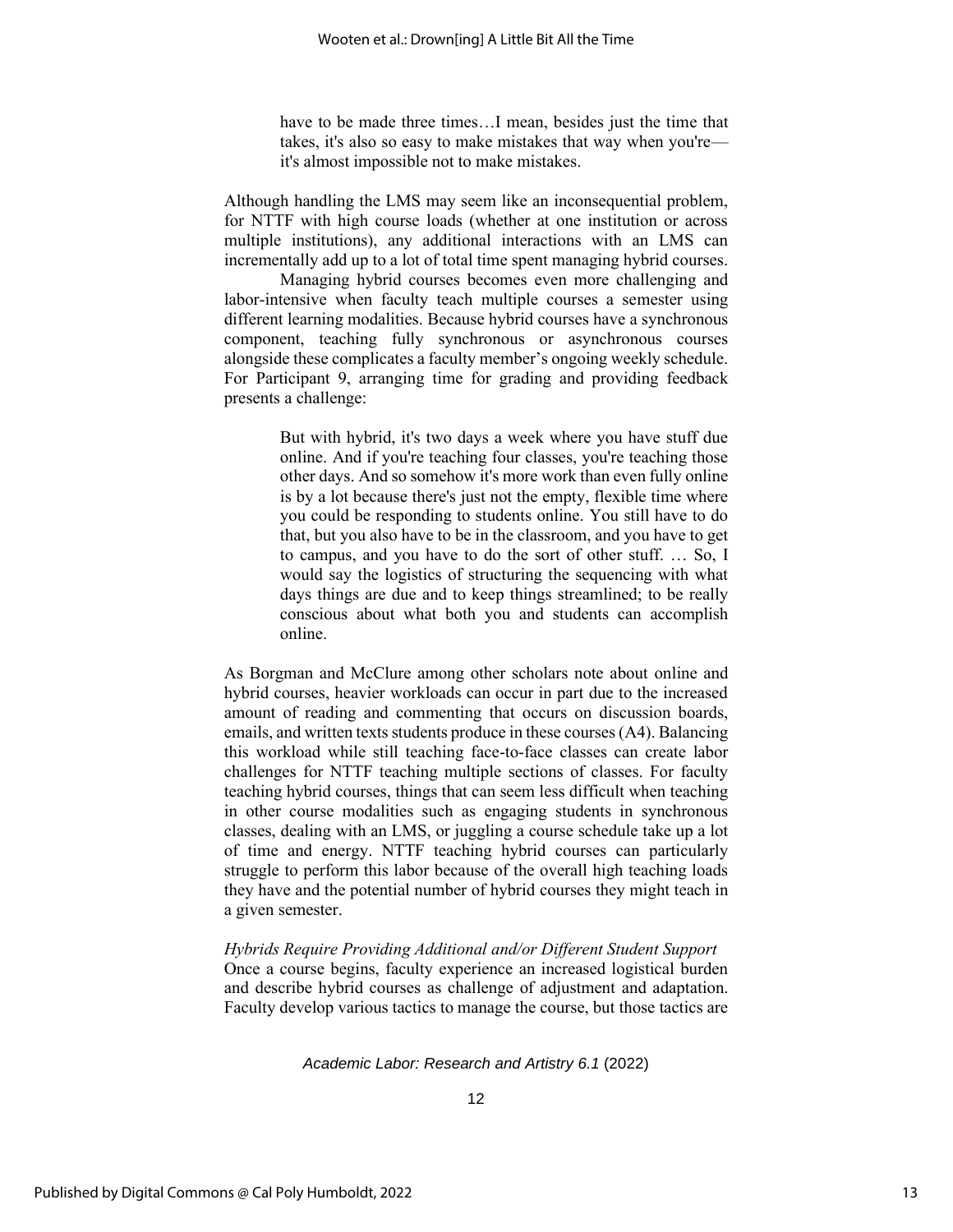have to be made three times…I mean, besides just the time that takes, it's also so easy to make mistakes that way when you're it's almost impossible not to make mistakes.

Although handling the LMS may seem like an inconsequential problem, for NTTF with high course loads (whether at one institution or across multiple institutions), any additional interactions with an LMS can incrementally add up to a lot of total time spent managing hybrid courses.

Managing hybrid courses becomes even more challenging and labor-intensive when faculty teach multiple courses a semester using different learning modalities. Because hybrid courses have a synchronous component, teaching fully synchronous or asynchronous courses alongside these complicates a faculty member's ongoing weekly schedule. For Participant 9, arranging time for grading and providing feedback presents a challenge:

> But with hybrid, it's two days a week where you have stuff due online. And if you're teaching four classes, you're teaching those other days. And so somehow it's more work than even fully online is by a lot because there's just not the empty, flexible time where you could be responding to students online. You still have to do that, but you also have to be in the classroom, and you have to get to campus, and you have to do the sort of other stuff. … So, I would say the logistics of structuring the sequencing with what days things are due and to keep things streamlined; to be really conscious about what both you and students can accomplish online.

As Borgman and McClure among other scholars note about online and hybrid courses, heavier workloads can occur in part due to the increased amount of reading and commenting that occurs on discussion boards, emails, and written texts students produce in these courses (A4). Balancing this workload while still teaching face-to-face classes can create labor challenges for NTTF teaching multiple sections of classes. For faculty teaching hybrid courses, things that can seem less difficult when teaching in other course modalities such as engaging students in synchronous classes, dealing with an LMS, or juggling a course schedule take up a lot of time and energy. NTTF teaching hybrid courses can particularly struggle to perform this labor because of the overall high teaching loads they have and the potential number of hybrid courses they might teach in a given semester.

*Hybrids Require Providing Additional and/or Different Student Support* Once a course begins, faculty experience an increased logistical burden and describe hybrid courses as challenge of adjustment and adaptation. Faculty develop various tactics to manage the course, but those tactics are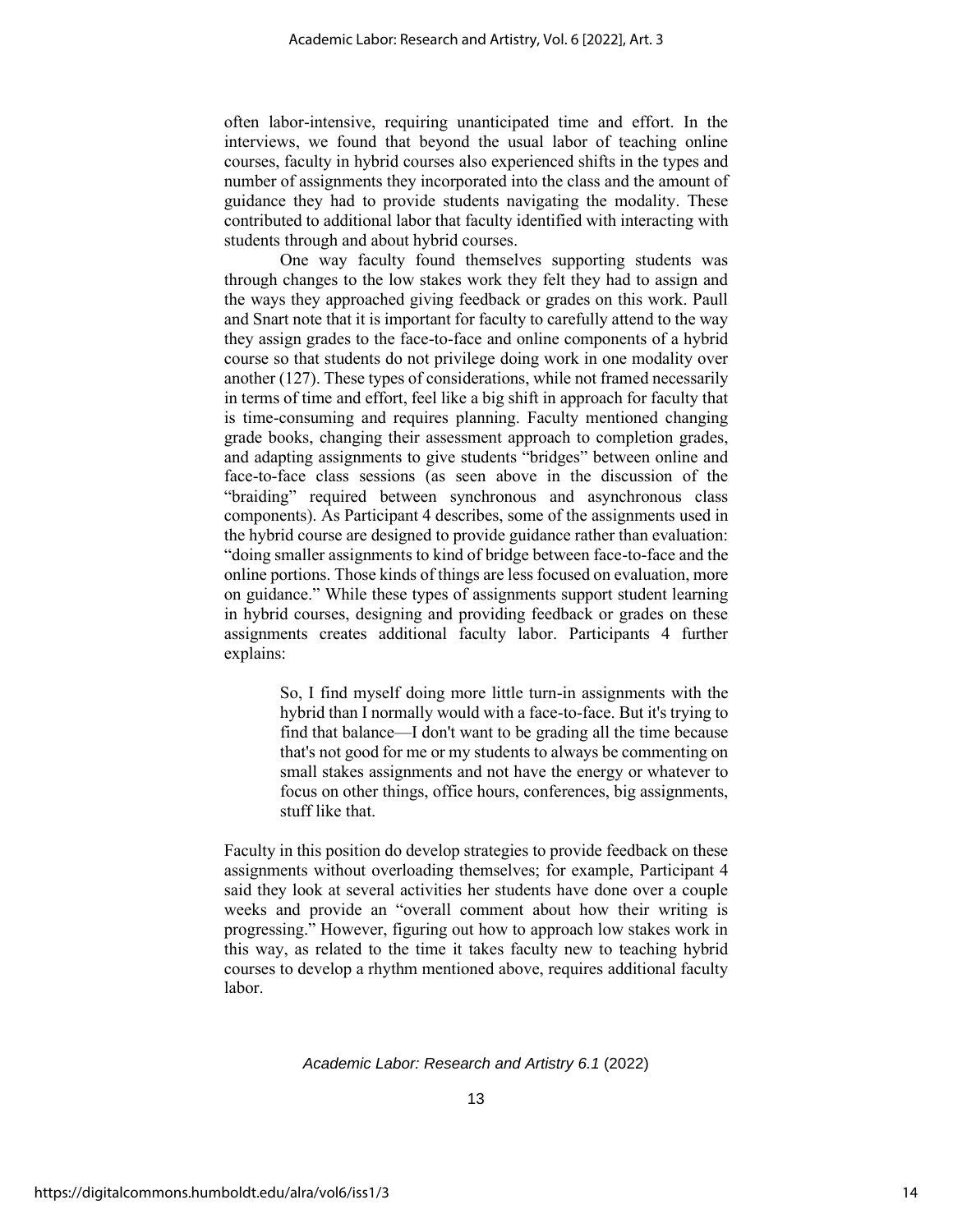often labor-intensive, requiring unanticipated time and effort. In the interviews, we found that beyond the usual labor of teaching online courses, faculty in hybrid courses also experienced shifts in the types and number of assignments they incorporated into the class and the amount of guidance they had to provide students navigating the modality. These contributed to additional labor that faculty identified with interacting with students through and about hybrid courses.

One way faculty found themselves supporting students was through changes to the low stakes work they felt they had to assign and the ways they approached giving feedback or grades on this work. Paull and Snart note that it is important for faculty to carefully attend to the way they assign grades to the face-to-face and online components of a hybrid course so that students do not privilege doing work in one modality over another (127). These types of considerations, while not framed necessarily in terms of time and effort, feel like a big shift in approach for faculty that is time-consuming and requires planning. Faculty mentioned changing grade books, changing their assessment approach to completion grades, and adapting assignments to give students "bridges" between online and face-to-face class sessions (as seen above in the discussion of the "braiding" required between synchronous and asynchronous class components). As Participant 4 describes, some of the assignments used in the hybrid course are designed to provide guidance rather than evaluation: "doing smaller assignments to kind of bridge between face-to-face and the online portions. Those kinds of things are less focused on evaluation, more on guidance." While these types of assignments support student learning in hybrid courses, designing and providing feedback or grades on these assignments creates additional faculty labor. Participants 4 further explains:

> So, I find myself doing more little turn-in assignments with the hybrid than I normally would with a face-to-face. But it's trying to find that balance—I don't want to be grading all the time because that's not good for me or my students to always be commenting on small stakes assignments and not have the energy or whatever to focus on other things, office hours, conferences, big assignments, stuff like that.

Faculty in this position do develop strategies to provide feedback on these assignments without overloading themselves; for example, Participant 4 said they look at several activities her students have done over a couple weeks and provide an "overall comment about how their writing is progressing." However, figuring out how to approach low stakes work in this way, as related to the time it takes faculty new to teaching hybrid courses to develop a rhythm mentioned above, requires additional faculty labor.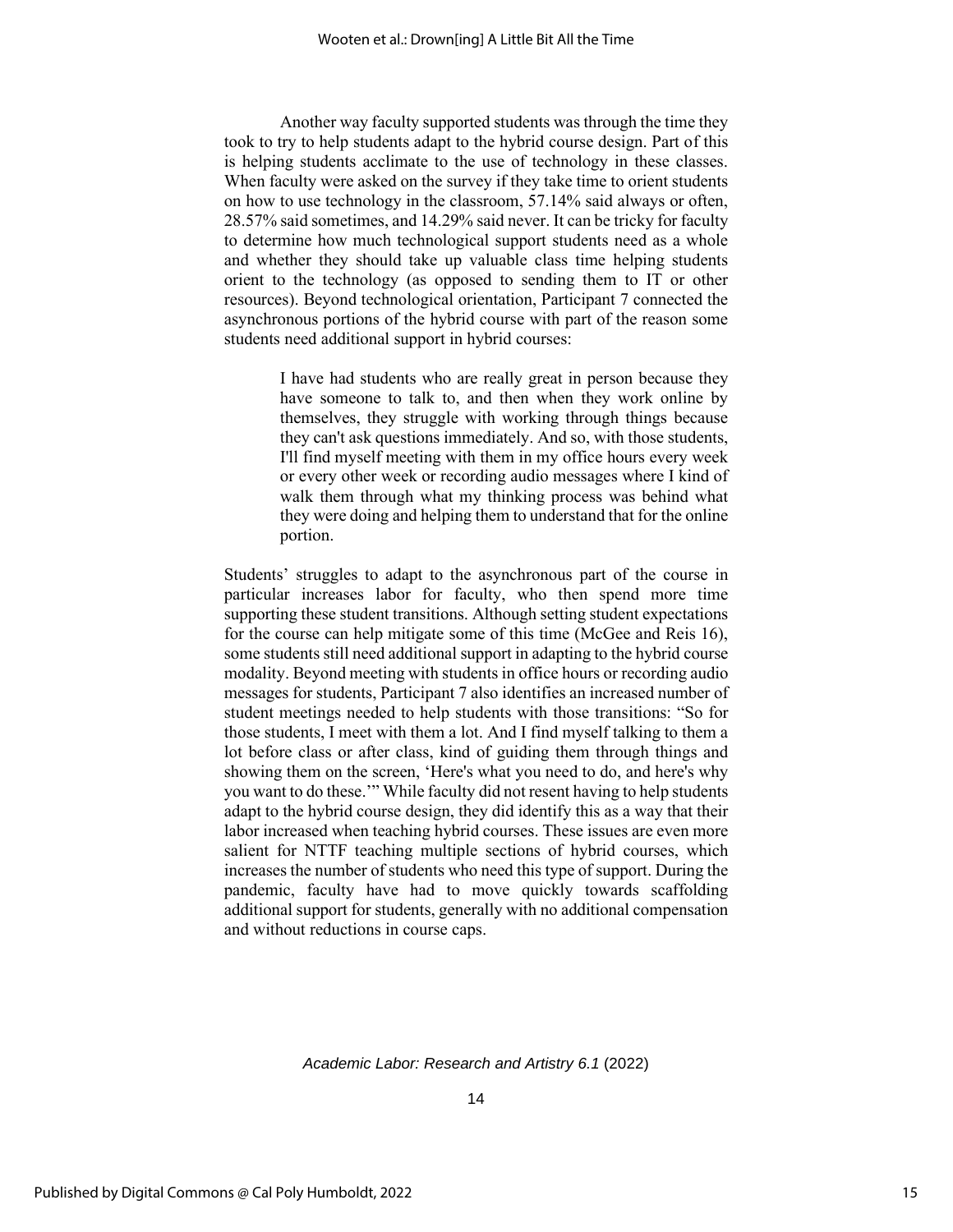Another way faculty supported students was through the time they took to try to help students adapt to the hybrid course design. Part of this is helping students acclimate to the use of technology in these classes. When faculty were asked on the survey if they take time to orient students on how to use technology in the classroom, 57.14% said always or often, 28.57% said sometimes, and 14.29% said never. It can be tricky for faculty to determine how much technological support students need as a whole and whether they should take up valuable class time helping students orient to the technology (as opposed to sending them to IT or other resources). Beyond technological orientation, Participant 7 connected the asynchronous portions of the hybrid course with part of the reason some students need additional support in hybrid courses:

> I have had students who are really great in person because they have someone to talk to, and then when they work online by themselves, they struggle with working through things because they can't ask questions immediately. And so, with those students, I'll find myself meeting with them in my office hours every week or every other week or recording audio messages where I kind of walk them through what my thinking process was behind what they were doing and helping them to understand that for the online portion.

Students' struggles to adapt to the asynchronous part of the course in particular increases labor for faculty, who then spend more time supporting these student transitions. Although setting student expectations for the course can help mitigate some of this time (McGee and Reis 16), some students still need additional support in adapting to the hybrid course modality. Beyond meeting with students in office hours or recording audio messages for students, Participant 7 also identifies an increased number of student meetings needed to help students with those transitions: "So for those students, I meet with them a lot. And I find myself talking to them a lot before class or after class, kind of guiding them through things and showing them on the screen, 'Here's what you need to do, and here's why you want to do these.'" While faculty did not resent having to help students adapt to the hybrid course design, they did identify this as a way that their labor increased when teaching hybrid courses. These issues are even more salient for NTTF teaching multiple sections of hybrid courses, which increases the number of students who need this type of support. During the pandemic, faculty have had to move quickly towards scaffolding additional support for students, generally with no additional compensation and without reductions in course caps.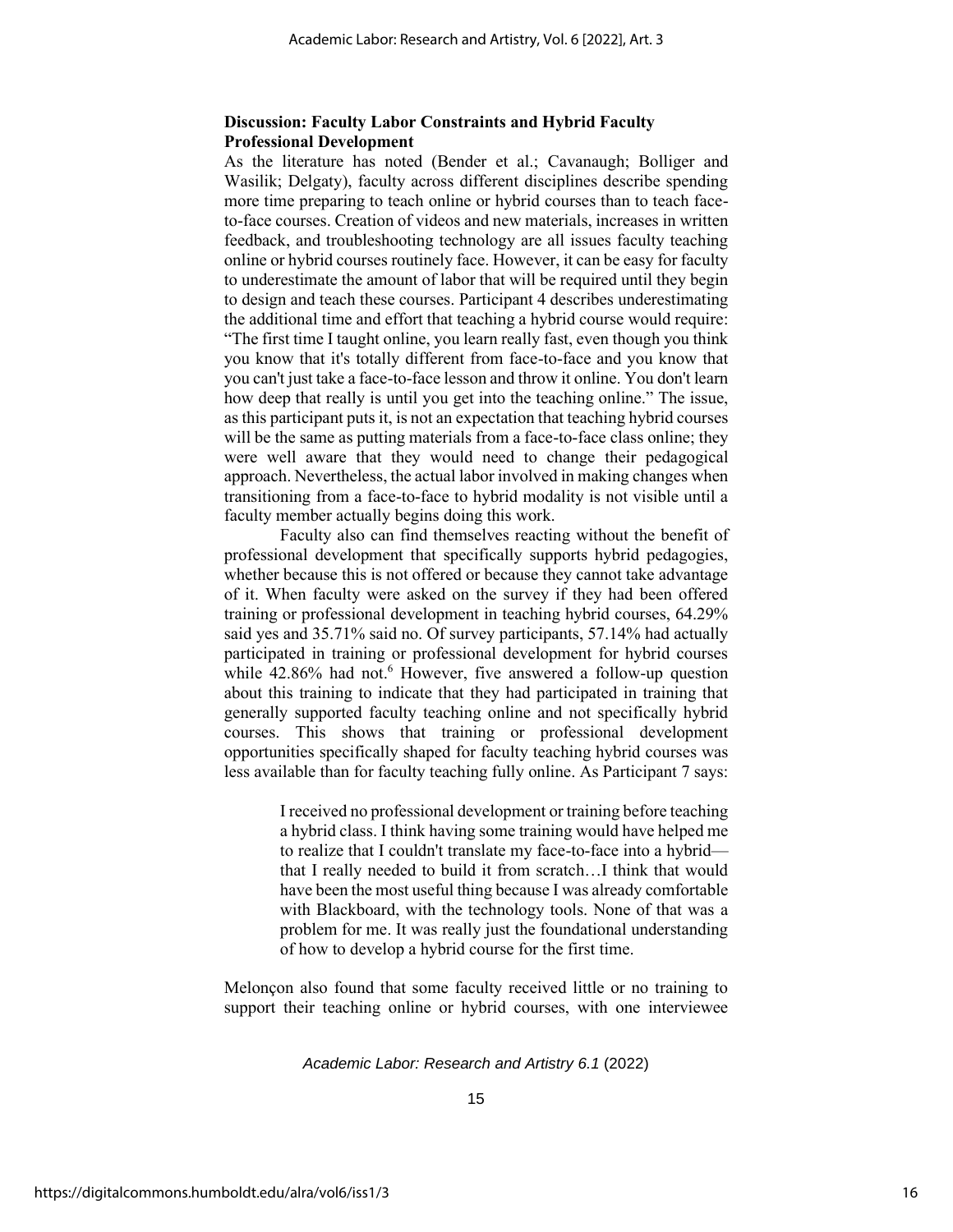# **Discussion: Faculty Labor Constraints and Hybrid Faculty Professional Development**

As the literature has noted (Bender et al.; Cavanaugh; Bolliger and Wasilik; Delgaty), faculty across different disciplines describe spending more time preparing to teach online or hybrid courses than to teach faceto-face courses. Creation of videos and new materials, increases in written feedback, and troubleshooting technology are all issues faculty teaching online or hybrid courses routinely face. However, it can be easy for faculty to underestimate the amount of labor that will be required until they begin to design and teach these courses. Participant 4 describes underestimating the additional time and effort that teaching a hybrid course would require: "The first time I taught online, you learn really fast, even though you think you know that it's totally different from face-to-face and you know that you can't just take a face-to-face lesson and throw it online. You don't learn how deep that really is until you get into the teaching online." The issue, as this participant puts it, is not an expectation that teaching hybrid courses will be the same as putting materials from a face-to-face class online; they were well aware that they would need to change their pedagogical approach. Nevertheless, the actual labor involved in making changes when transitioning from a face-to-face to hybrid modality is not visible until a faculty member actually begins doing this work.

Faculty also can find themselves reacting without the benefit of professional development that specifically supports hybrid pedagogies, whether because this is not offered or because they cannot take advantage of it. When faculty were asked on the survey if they had been offered training or professional development in teaching hybrid courses, 64.29% said yes and 35.71% said no. Of survey participants, 57.14% had actually participated in training or professional development for hybrid courses while 42.86% had not.<sup>6</sup> However, five answered a follow-up question about this training to indicate that they had participated in training that generally supported faculty teaching online and not specifically hybrid courses. This shows that training or professional development opportunities specifically shaped for faculty teaching hybrid courses was less available than for faculty teaching fully online. As Participant 7 says:

> I received no professional development or training before teaching a hybrid class. I think having some training would have helped me to realize that I couldn't translate my face-to-face into a hybrid that I really needed to build it from scratch…I think that would have been the most useful thing because I was already comfortable with Blackboard, with the technology tools. None of that was a problem for me. It was really just the foundational understanding of how to develop a hybrid course for the first time.

Melonçon also found that some faculty received little or no training to support their teaching online or hybrid courses, with one interviewee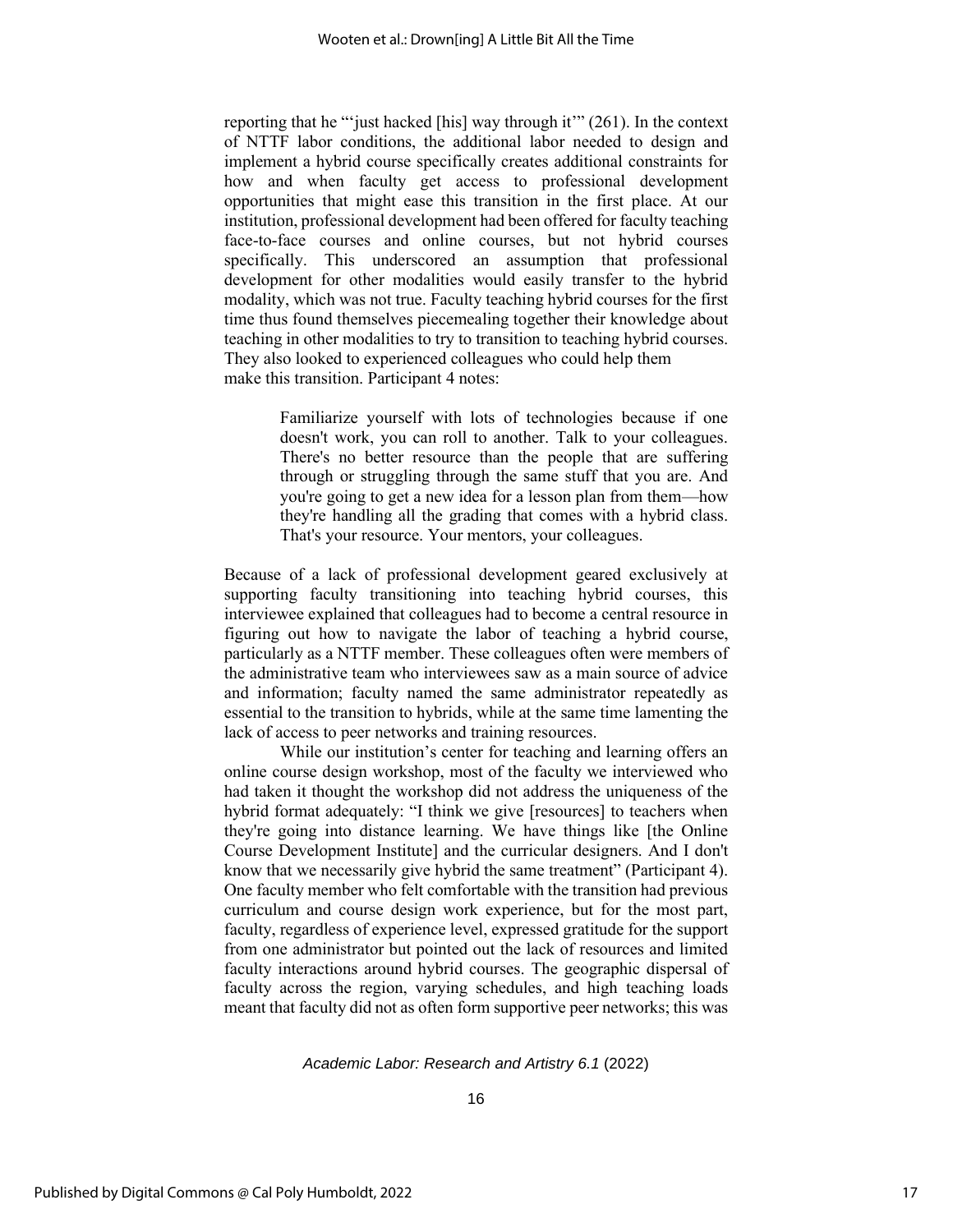reporting that he "'just hacked [his] way through it'" (261). In the context of NTTF labor conditions, the additional labor needed to design and implement a hybrid course specifically creates additional constraints for how and when faculty get access to professional development opportunities that might ease this transition in the first place. At our institution, professional development had been offered for faculty teaching face-to-face courses and online courses, but not hybrid courses specifically. This underscored an assumption that professional development for other modalities would easily transfer to the hybrid modality, which was not true. Faculty teaching hybrid courses for the first time thus found themselves piecemealing together their knowledge about teaching in other modalities to try to transition to teaching hybrid courses. They also looked to experienced colleagues who could help them make this transition. Participant 4 notes:

> Familiarize yourself with lots of technologies because if one doesn't work, you can roll to another. Talk to your colleagues. There's no better resource than the people that are suffering through or struggling through the same stuff that you are. And you're going to get a new idea for a lesson plan from them—how they're handling all the grading that comes with a hybrid class. That's your resource. Your mentors, your colleagues.

Because of a lack of professional development geared exclusively at supporting faculty transitioning into teaching hybrid courses, this interviewee explained that colleagues had to become a central resource in figuring out how to navigate the labor of teaching a hybrid course, particularly as a NTTF member. These colleagues often were members of the administrative team who interviewees saw as a main source of advice and information; faculty named the same administrator repeatedly as essential to the transition to hybrids, while at the same time lamenting the lack of access to peer networks and training resources.

While our institution's center for teaching and learning offers an online course design workshop, most of the faculty we interviewed who had taken it thought the workshop did not address the uniqueness of the hybrid format adequately: "I think we give [resources] to teachers when they're going into distance learning. We have things like [the Online Course Development Institute] and the curricular designers. And I don't know that we necessarily give hybrid the same treatment" (Participant 4). One faculty member who felt comfortable with the transition had previous curriculum and course design work experience, but for the most part, faculty, regardless of experience level, expressed gratitude for the support from one administrator but pointed out the lack of resources and limited faculty interactions around hybrid courses. The geographic dispersal of faculty across the region, varying schedules, and high teaching loads meant that faculty did not as often form supportive peer networks; this was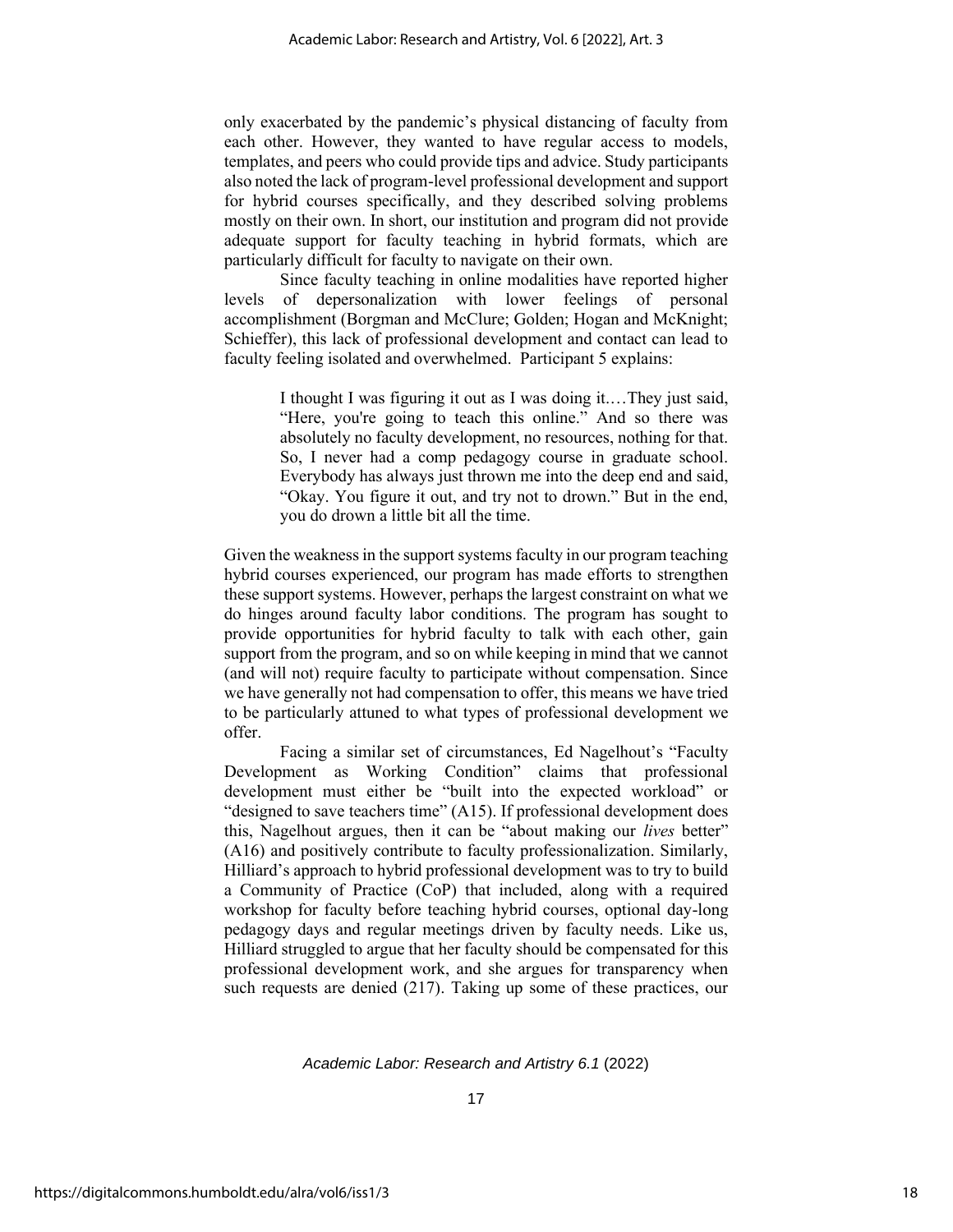only exacerbated by the pandemic's physical distancing of faculty from each other. However, they wanted to have regular access to models, templates, and peers who could provide tips and advice. Study participants also noted the lack of program-level professional development and support for hybrid courses specifically, and they described solving problems mostly on their own. In short, our institution and program did not provide adequate support for faculty teaching in hybrid formats, which are particularly difficult for faculty to navigate on their own.

Since faculty teaching in online modalities have reported higher levels of depersonalization with lower feelings of personal accomplishment (Borgman and McClure; Golden; Hogan and McKnight; Schieffer), this lack of professional development and contact can lead to faculty feeling isolated and overwhelmed. Participant 5 explains:

> I thought I was figuring it out as I was doing it.…They just said, "Here, you're going to teach this online." And so there was absolutely no faculty development, no resources, nothing for that. So, I never had a comp pedagogy course in graduate school. Everybody has always just thrown me into the deep end and said, "Okay. You figure it out, and try not to drown." But in the end, you do drown a little bit all the time.

Given the weakness in the support systems faculty in our program teaching hybrid courses experienced, our program has made efforts to strengthen these support systems. However, perhaps the largest constraint on what we do hinges around faculty labor conditions. The program has sought to provide opportunities for hybrid faculty to talk with each other, gain support from the program, and so on while keeping in mind that we cannot (and will not) require faculty to participate without compensation. Since we have generally not had compensation to offer, this means we have tried to be particularly attuned to what types of professional development we offer.

Facing a similar set of circumstances, Ed Nagelhout's "Faculty Development as Working Condition" claims that professional development must either be "built into the expected workload" or "designed to save teachers time" (A15). If professional development does this, Nagelhout argues, then it can be "about making our *lives* better" (A16) and positively contribute to faculty professionalization. Similarly, Hilliard's approach to hybrid professional development was to try to build a Community of Practice (CoP) that included, along with a required workshop for faculty before teaching hybrid courses, optional day-long pedagogy days and regular meetings driven by faculty needs. Like us, Hilliard struggled to argue that her faculty should be compensated for this professional development work, and she argues for transparency when such requests are denied (217). Taking up some of these practices, our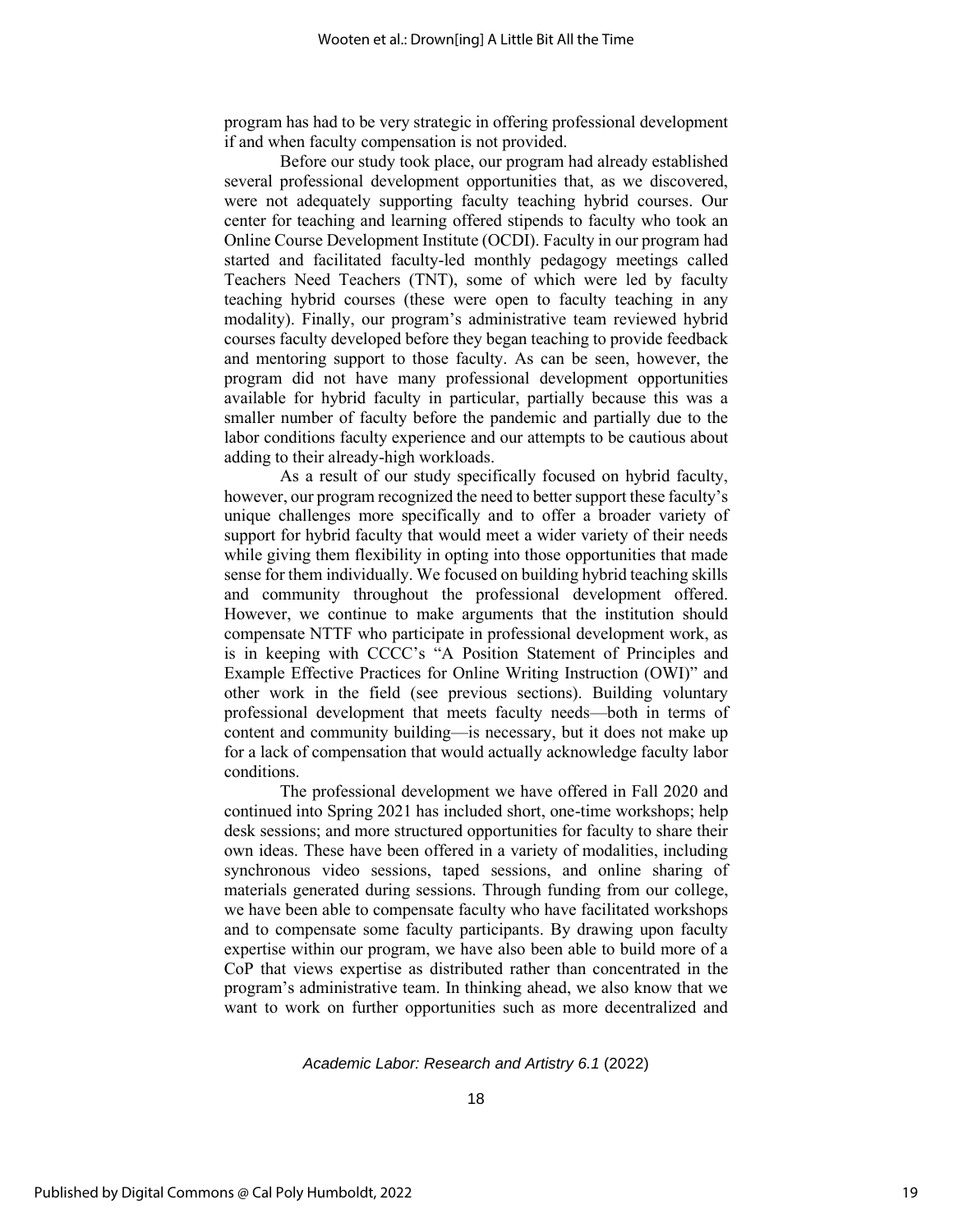program has had to be very strategic in offering professional development if and when faculty compensation is not provided.

Before our study took place, our program had already established several professional development opportunities that, as we discovered, were not adequately supporting faculty teaching hybrid courses. Our center for teaching and learning offered stipends to faculty who took an Online Course Development Institute (OCDI). Faculty in our program had started and facilitated faculty-led monthly pedagogy meetings called Teachers Need Teachers (TNT), some of which were led by faculty teaching hybrid courses (these were open to faculty teaching in any modality). Finally, our program's administrative team reviewed hybrid courses faculty developed before they began teaching to provide feedback and mentoring support to those faculty. As can be seen, however, the program did not have many professional development opportunities available for hybrid faculty in particular, partially because this was a smaller number of faculty before the pandemic and partially due to the labor conditions faculty experience and our attempts to be cautious about adding to their already-high workloads.

As a result of our study specifically focused on hybrid faculty, however, our program recognized the need to better support these faculty's unique challenges more specifically and to offer a broader variety of support for hybrid faculty that would meet a wider variety of their needs while giving them flexibility in opting into those opportunities that made sense for them individually. We focused on building hybrid teaching skills and community throughout the professional development offered. However, we continue to make arguments that the institution should compensate NTTF who participate in professional development work, as is in keeping with CCCC's "A Position Statement of Principles and Example Effective Practices for Online Writing Instruction (OWI)" and other work in the field (see previous sections). Building voluntary professional development that meets faculty needs—both in terms of content and community building—is necessary, but it does not make up for a lack of compensation that would actually acknowledge faculty labor conditions.

The professional development we have offered in Fall 2020 and continued into Spring 2021 has included short, one-time workshops; help desk sessions; and more structured opportunities for faculty to share their own ideas. These have been offered in a variety of modalities, including synchronous video sessions, taped sessions, and online sharing of materials generated during sessions. Through funding from our college, we have been able to compensate faculty who have facilitated workshops and to compensate some faculty participants. By drawing upon faculty expertise within our program, we have also been able to build more of a CoP that views expertise as distributed rather than concentrated in the program's administrative team. In thinking ahead, we also know that we want to work on further opportunities such as more decentralized and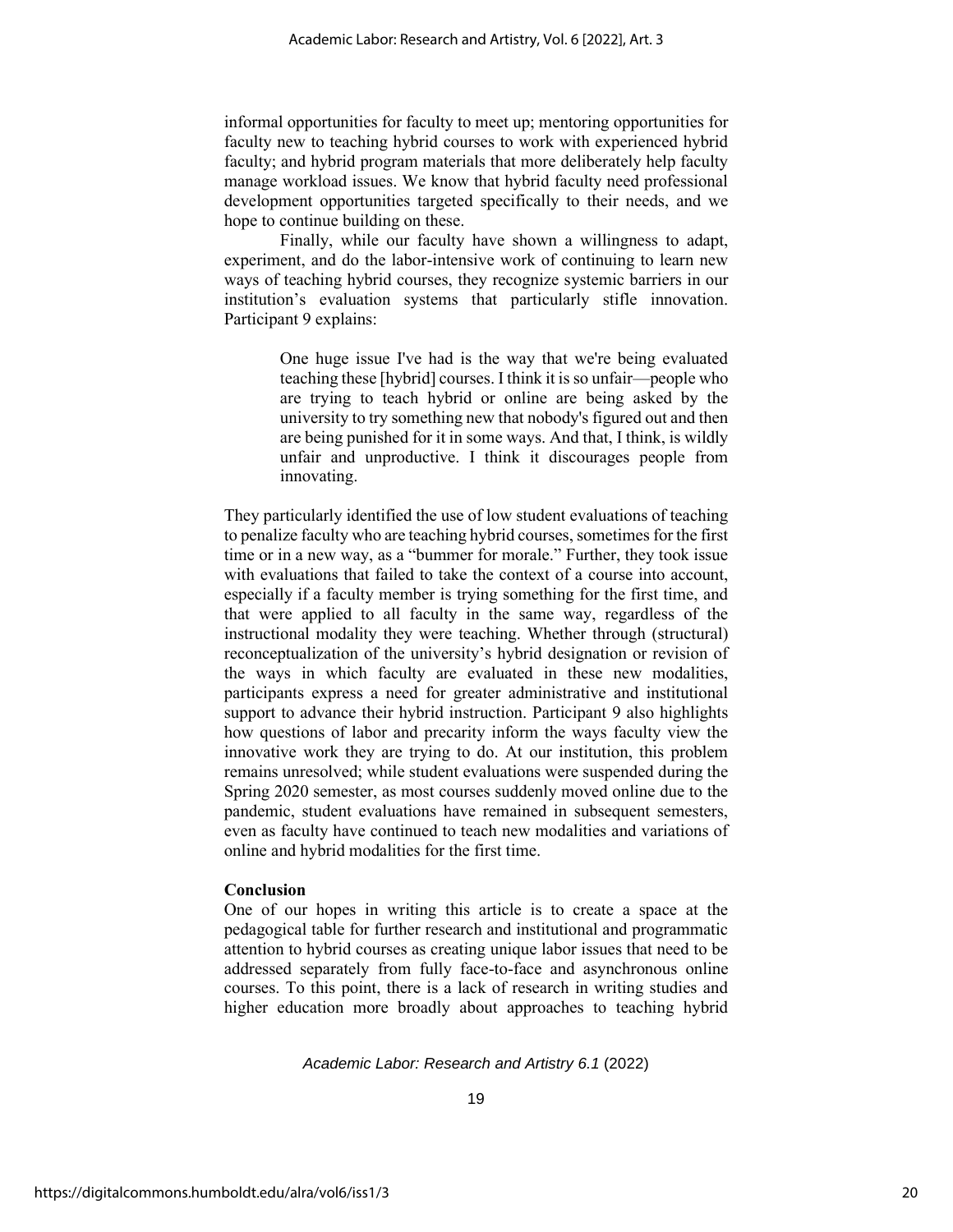informal opportunities for faculty to meet up; mentoring opportunities for faculty new to teaching hybrid courses to work with experienced hybrid faculty; and hybrid program materials that more deliberately help faculty manage workload issues. We know that hybrid faculty need professional development opportunities targeted specifically to their needs, and we hope to continue building on these.

Finally, while our faculty have shown a willingness to adapt, experiment, and do the labor-intensive work of continuing to learn new ways of teaching hybrid courses, they recognize systemic barriers in our institution's evaluation systems that particularly stifle innovation. Participant 9 explains:

> One huge issue I've had is the way that we're being evaluated teaching these [hybrid] courses. I think it is so unfair—people who are trying to teach hybrid or online are being asked by the university to try something new that nobody's figured out and then are being punished for it in some ways. And that, I think, is wildly unfair and unproductive. I think it discourages people from innovating.

They particularly identified the use of low student evaluations of teaching to penalize faculty who are teaching hybrid courses, sometimes for the first time or in a new way, as a "bummer for morale." Further, they took issue with evaluations that failed to take the context of a course into account, especially if a faculty member is trying something for the first time, and that were applied to all faculty in the same way, regardless of the instructional modality they were teaching. Whether through (structural) reconceptualization of the university's hybrid designation or revision of the ways in which faculty are evaluated in these new modalities, participants express a need for greater administrative and institutional support to advance their hybrid instruction. Participant 9 also highlights how questions of labor and precarity inform the ways faculty view the innovative work they are trying to do. At our institution, this problem remains unresolved; while student evaluations were suspended during the Spring 2020 semester, as most courses suddenly moved online due to the pandemic, student evaluations have remained in subsequent semesters, even as faculty have continued to teach new modalities and variations of online and hybrid modalities for the first time.

# **Conclusion**

One of our hopes in writing this article is to create a space at the pedagogical table for further research and institutional and programmatic attention to hybrid courses as creating unique labor issues that need to be addressed separately from fully face-to-face and asynchronous online courses. To this point, there is a lack of research in writing studies and higher education more broadly about approaches to teaching hybrid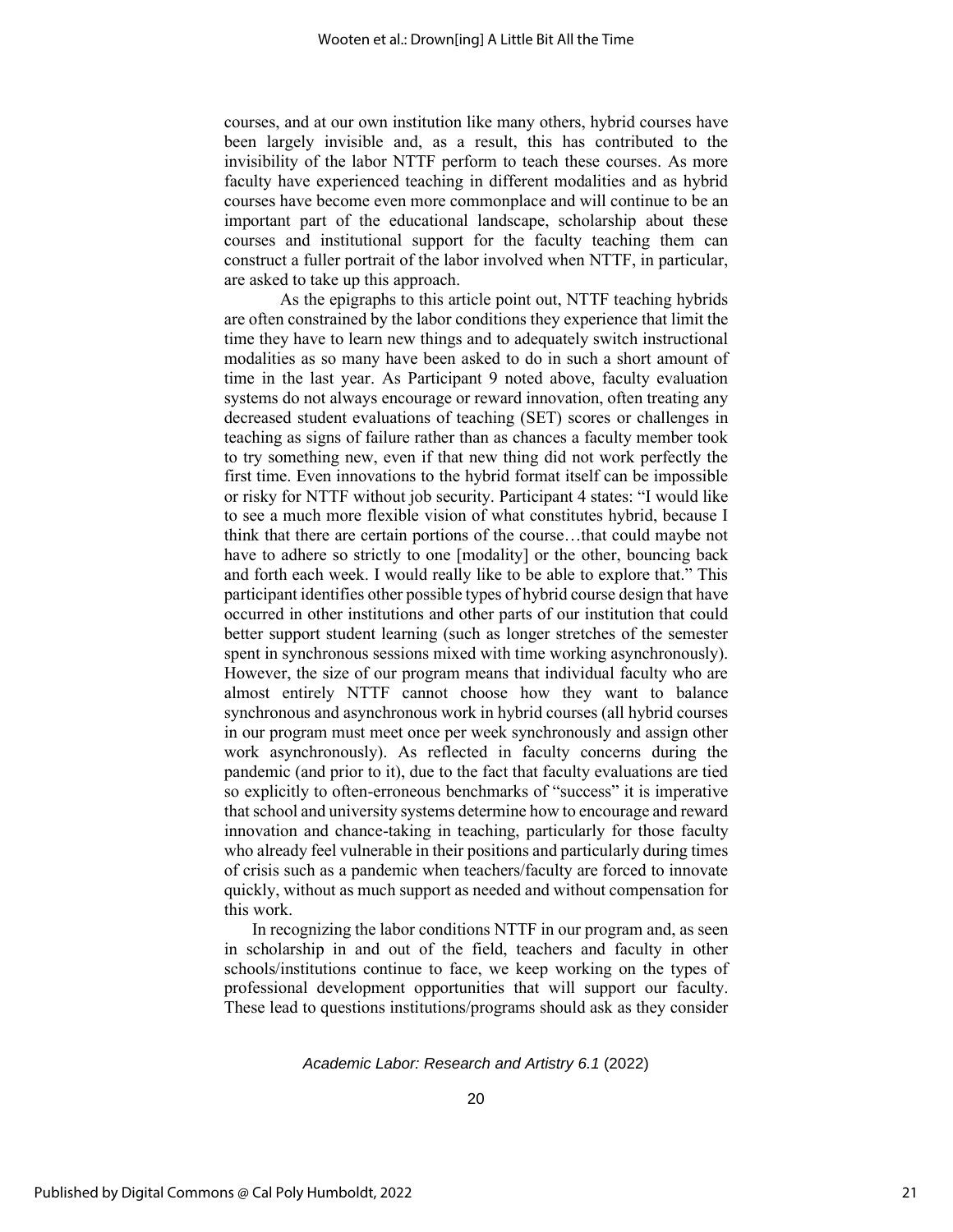courses, and at our own institution like many others, hybrid courses have been largely invisible and, as a result, this has contributed to the invisibility of the labor NTTF perform to teach these courses. As more faculty have experienced teaching in different modalities and as hybrid courses have become even more commonplace and will continue to be an important part of the educational landscape, scholarship about these courses and institutional support for the faculty teaching them can construct a fuller portrait of the labor involved when NTTF, in particular, are asked to take up this approach.

As the epigraphs to this article point out, NTTF teaching hybrids are often constrained by the labor conditions they experience that limit the time they have to learn new things and to adequately switch instructional modalities as so many have been asked to do in such a short amount of time in the last year. As Participant 9 noted above, faculty evaluation systems do not always encourage or reward innovation, often treating any decreased student evaluations of teaching (SET) scores or challenges in teaching as signs of failure rather than as chances a faculty member took to try something new, even if that new thing did not work perfectly the first time. Even innovations to the hybrid format itself can be impossible or risky for NTTF without job security. Participant 4 states: "I would like to see a much more flexible vision of what constitutes hybrid, because I think that there are certain portions of the course…that could maybe not have to adhere so strictly to one [modality] or the other, bouncing back and forth each week. I would really like to be able to explore that." This participant identifies other possible types of hybrid course design that have occurred in other institutions and other parts of our institution that could better support student learning (such as longer stretches of the semester spent in synchronous sessions mixed with time working asynchronously). However, the size of our program means that individual faculty who are almost entirely NTTF cannot choose how they want to balance synchronous and asynchronous work in hybrid courses (all hybrid courses in our program must meet once per week synchronously and assign other work asynchronously). As reflected in faculty concerns during the pandemic (and prior to it), due to the fact that faculty evaluations are tied so explicitly to often-erroneous benchmarks of "success" it is imperative that school and university systems determine how to encourage and reward innovation and chance-taking in teaching, particularly for those faculty who already feel vulnerable in their positions and particularly during times of crisis such as a pandemic when teachers/faculty are forced to innovate quickly, without as much support as needed and without compensation for this work.

In recognizing the labor conditions NTTF in our program and, as seen in scholarship in and out of the field, teachers and faculty in other schools/institutions continue to face, we keep working on the types of professional development opportunities that will support our faculty. These lead to questions institutions/programs should ask as they consider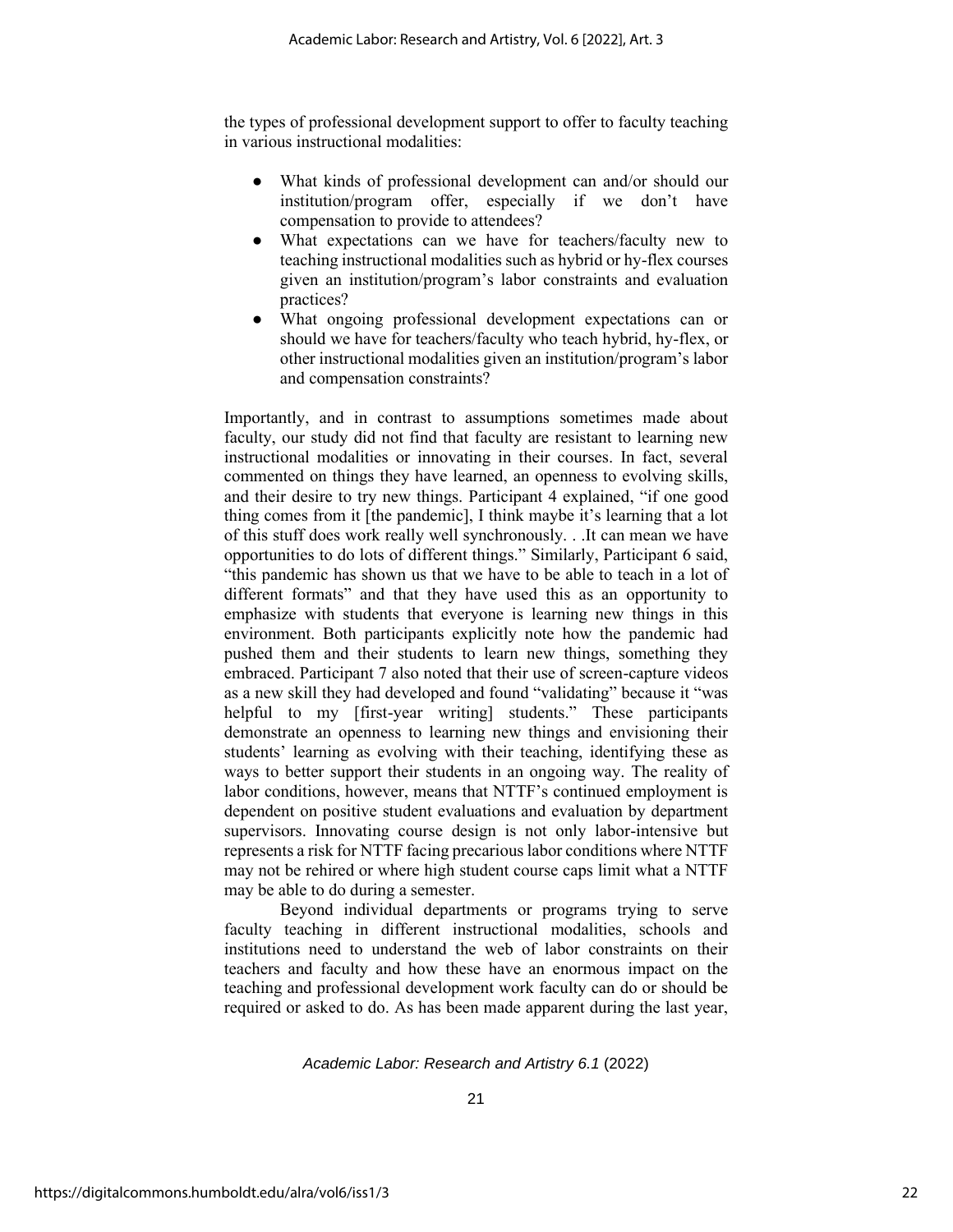the types of professional development support to offer to faculty teaching in various instructional modalities:

- What kinds of professional development can and/or should our institution/program offer, especially if we don't have compensation to provide to attendees?
- What expectations can we have for teachers/faculty new to teaching instructional modalities such as hybrid or hy-flex courses given an institution/program's labor constraints and evaluation practices?
- What ongoing professional development expectations can or should we have for teachers/faculty who teach hybrid, hy-flex, or other instructional modalities given an institution/program's labor and compensation constraints?

Importantly, and in contrast to assumptions sometimes made about faculty, our study did not find that faculty are resistant to learning new instructional modalities or innovating in their courses. In fact, several commented on things they have learned, an openness to evolving skills, and their desire to try new things. Participant 4 explained, "if one good thing comes from it [the pandemic], I think maybe it's learning that a lot of this stuff does work really well synchronously. . .It can mean we have opportunities to do lots of different things." Similarly, Participant 6 said, "this pandemic has shown us that we have to be able to teach in a lot of different formats" and that they have used this as an opportunity to emphasize with students that everyone is learning new things in this environment. Both participants explicitly note how the pandemic had pushed them and their students to learn new things, something they embraced. Participant 7 also noted that their use of screen-capture videos as a new skill they had developed and found "validating" because it "was helpful to my [first-year writing] students." These participants demonstrate an openness to learning new things and envisioning their students' learning as evolving with their teaching, identifying these as ways to better support their students in an ongoing way. The reality of labor conditions, however, means that NTTF's continued employment is dependent on positive student evaluations and evaluation by department supervisors. Innovating course design is not only labor-intensive but represents a risk for NTTF facing precarious labor conditions where NTTF may not be rehired or where high student course caps limit what a NTTF may be able to do during a semester.

Beyond individual departments or programs trying to serve faculty teaching in different instructional modalities, schools and institutions need to understand the web of labor constraints on their teachers and faculty and how these have an enormous impact on the teaching and professional development work faculty can do or should be required or asked to do. As has been made apparent during the last year,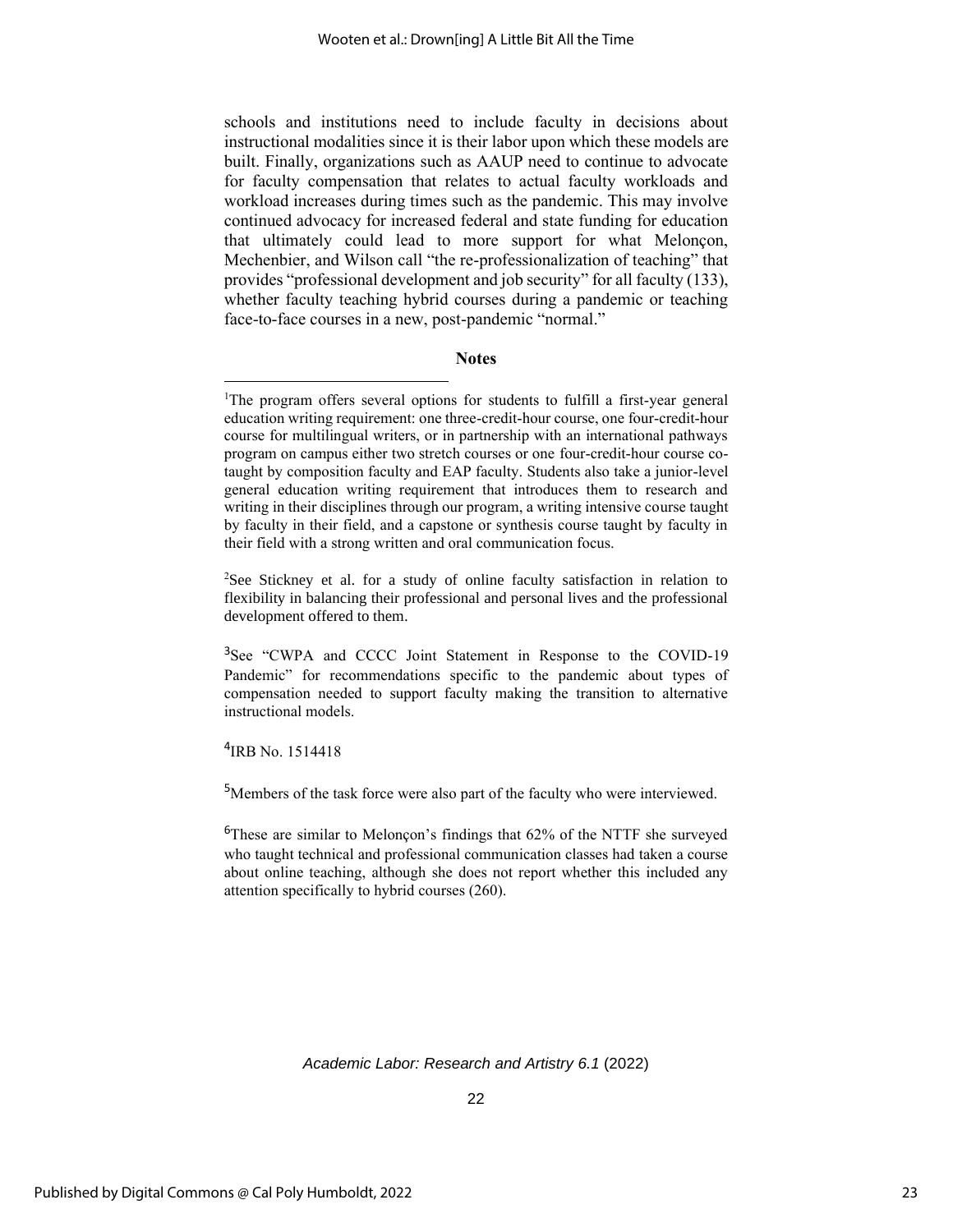schools and institutions need to include faculty in decisions about instructional modalities since it is their labor upon which these models are built. Finally, organizations such as AAUP need to continue to advocate for faculty compensation that relates to actual faculty workloads and workload increases during times such as the pandemic. This may involve continued advocacy for increased federal and state funding for education that ultimately could lead to more support for what Melonçon, Mechenbier, and Wilson call "the re-professionalization of teaching" that provides "professional development and job security" for all faculty (133), whether faculty teaching hybrid courses during a pandemic or teaching face-to-face courses in a new, post-pandemic "normal."

# **Notes**

<sup>2</sup>See Stickney et al. for a study of online faculty satisfaction in relation to flexibility in balancing their professional and personal lives and the professional development offered to them.

<sup>3</sup>See "CWPA and CCCC Joint Statement in Response to the COVID-19 Pandemic" for recommendations specific to the pandemic about types of compensation needed to support faculty making the transition to alternative instructional models.

4 IRB No. 1514418

<sup>5</sup>Members of the task force were also part of the faculty who were interviewed.

 $6$ These are similar to Melonçon's findings that 62% of the NTTF she surveyed who taught technical and professional communication classes had taken a course about online teaching, although she does not report whether this included any attention specifically to hybrid courses (260).

<sup>&</sup>lt;sup>1</sup>The program offers several options for students to fulfill a first-year general education writing requirement: one three-credit-hour course, one four-credit-hour course for multilingual writers, or in partnership with an international pathways program on campus either two stretch courses or one four-credit-hour course cotaught by composition faculty and EAP faculty. Students also take a junior-level general education writing requirement that introduces them to research and writing in their disciplines through our program, a writing intensive course taught by faculty in their field, and a capstone or synthesis course taught by faculty in their field with a strong written and oral communication focus.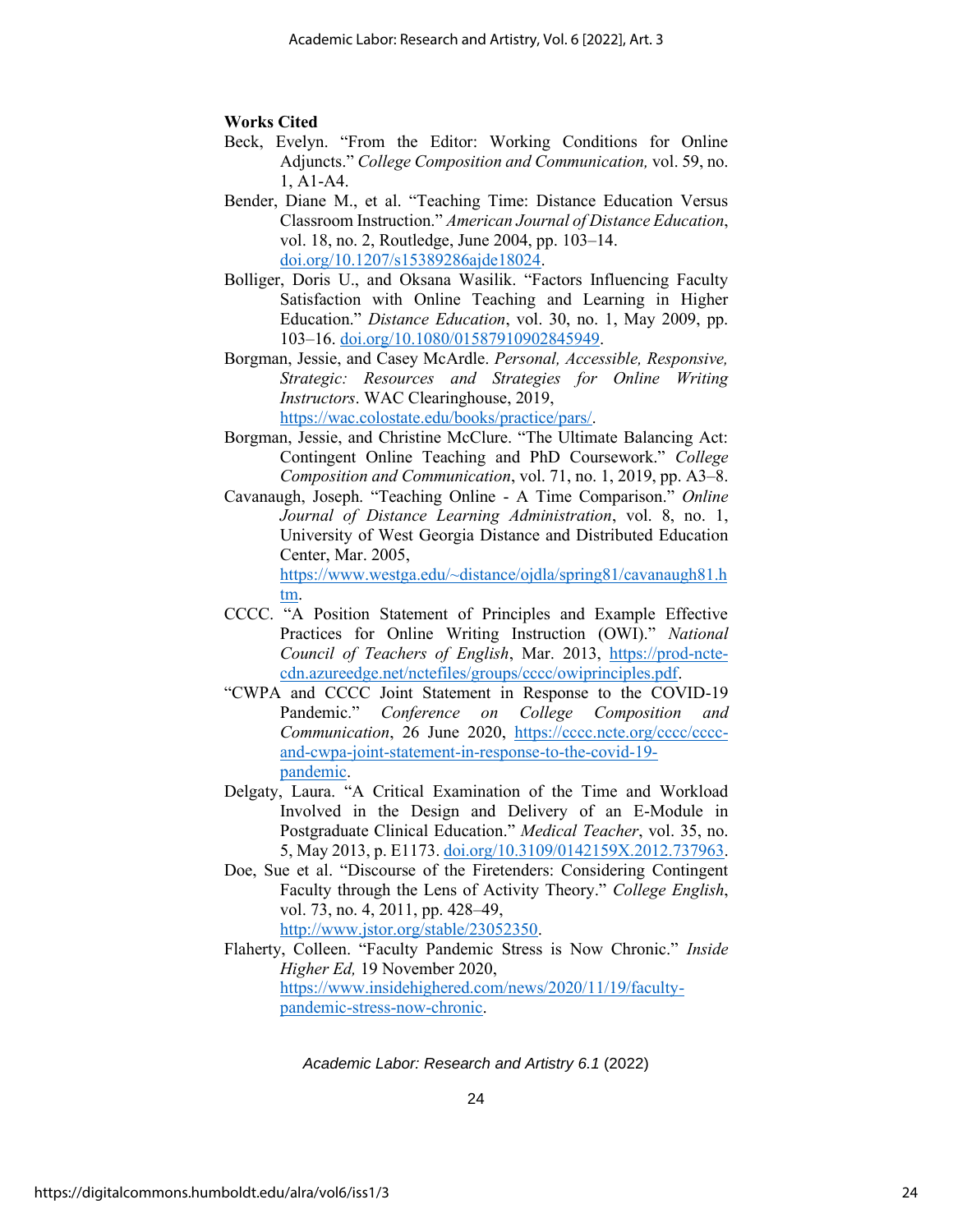# **Works Cited**

- Beck, Evelyn. "From the Editor: Working Conditions for Online Adjuncts." *College Composition and Communication,* vol. 59, no. 1, A1-A4.
- Bender, Diane M., et al. "Teaching Time: Distance Education Versus Classroom Instruction." *American Journal of Distance Education*, vol. 18, no. 2, Routledge, June 2004, pp. 103–14. [doi.org/10.1207/s15389286ajde18024.](https://doi.org/10.1207/s15389286ajde1802_4)
- Bolliger, Doris U., and Oksana Wasilik. "Factors Influencing Faculty Satisfaction with Online Teaching and Learning in Higher Education." *Distance Education*, vol. 30, no. 1, May 2009, pp. 103–16. [doi.org/10.1080/01587910902845949.](https://doi.org/10.1080/01587910902845949)
- Borgman, Jessie, and Casey McArdle. *Personal, Accessible, Responsive, Strategic: Resources and Strategies for Online Writing Instructors*. WAC Clearinghouse, 2019, [https://wac.colostate.edu/books/practice/pars/.](https://wac.colostate.edu/books/practice/pars/)
- Borgman, Jessie, and Christine McClure. "The Ultimate Balancing Act: Contingent Online Teaching and PhD Coursework." *College Composition and Communication*, vol. 71, no. 1, 2019, pp. A3–8.
- Cavanaugh, Joseph. "Teaching Online A Time Comparison." *Online Journal of Distance Learning Administration*, vol. 8, no. 1, University of West Georgia Distance and Distributed Education Center, Mar. 2005,

[https://www.westga.edu/~distance/ojdla/spring81/cavanaugh81.h](https://www.westga.edu/~distance/ojdla/spring81/cavanaugh81.htm) [tm.](https://www.westga.edu/~distance/ojdla/spring81/cavanaugh81.htm)

- CCCC. "A Position Statement of Principles and Example Effective Practices for Online Writing Instruction (OWI)." *National Council of Teachers of English*, Mar. 2013, [https://prod-ncte](https://prod-ncte-cdn.azureedge.net/nctefiles/groups/cccc/owiprinciples.pdf)[cdn.azureedge.net/nctefiles/groups/cccc/owiprinciples.pdf.](https://prod-ncte-cdn.azureedge.net/nctefiles/groups/cccc/owiprinciples.pdf)
- "CWPA and CCCC Joint Statement in Response to the COVID-19 Pandemic." *Conference on College Composition and Communication*, 26 June 2020, [https://cccc.ncte.org/cccc/cccc](https://cccc.ncte.org/cccc/cccc-and-cwpa-joint-statement-in-response-to-the-covid-19-pandemic)[and-cwpa-joint-statement-in-response-to-the-covid-19](https://cccc.ncte.org/cccc/cccc-and-cwpa-joint-statement-in-response-to-the-covid-19-pandemic) [pandemic.](https://cccc.ncte.org/cccc/cccc-and-cwpa-joint-statement-in-response-to-the-covid-19-pandemic)
- Delgaty, Laura. "A Critical Examination of the Time and Workload Involved in the Design and Delivery of an E-Module in Postgraduate Clinical Education." *Medical Teacher*, vol. 35, no. 5, May 2013, p. E1173. [doi.org/10.3109/0142159X.2012.737963.](https://doi.org/10.3109/0142159X.2012.737963)
- Doe, Sue et al. "Discourse of the Firetenders: Considering Contingent Faculty through the Lens of Activity Theory." *College English*, vol. 73, no. 4, 2011, pp. 428–49, [http://www.jstor.org/stable/23052350.](http://www.jstor.org/stable/23052350)
- Flaherty, Colleen. "Faculty Pandemic Stress is Now Chronic." *Inside Higher Ed,* 19 November 2020, [https://www.insidehighered.com/news/2020/11/19/faculty](https://www.insidehighered.com/news/2020/11/19/faculty-pandemic-stress-now-chronic)[pandemic-stress-now-chronic.](https://www.insidehighered.com/news/2020/11/19/faculty-pandemic-stress-now-chronic)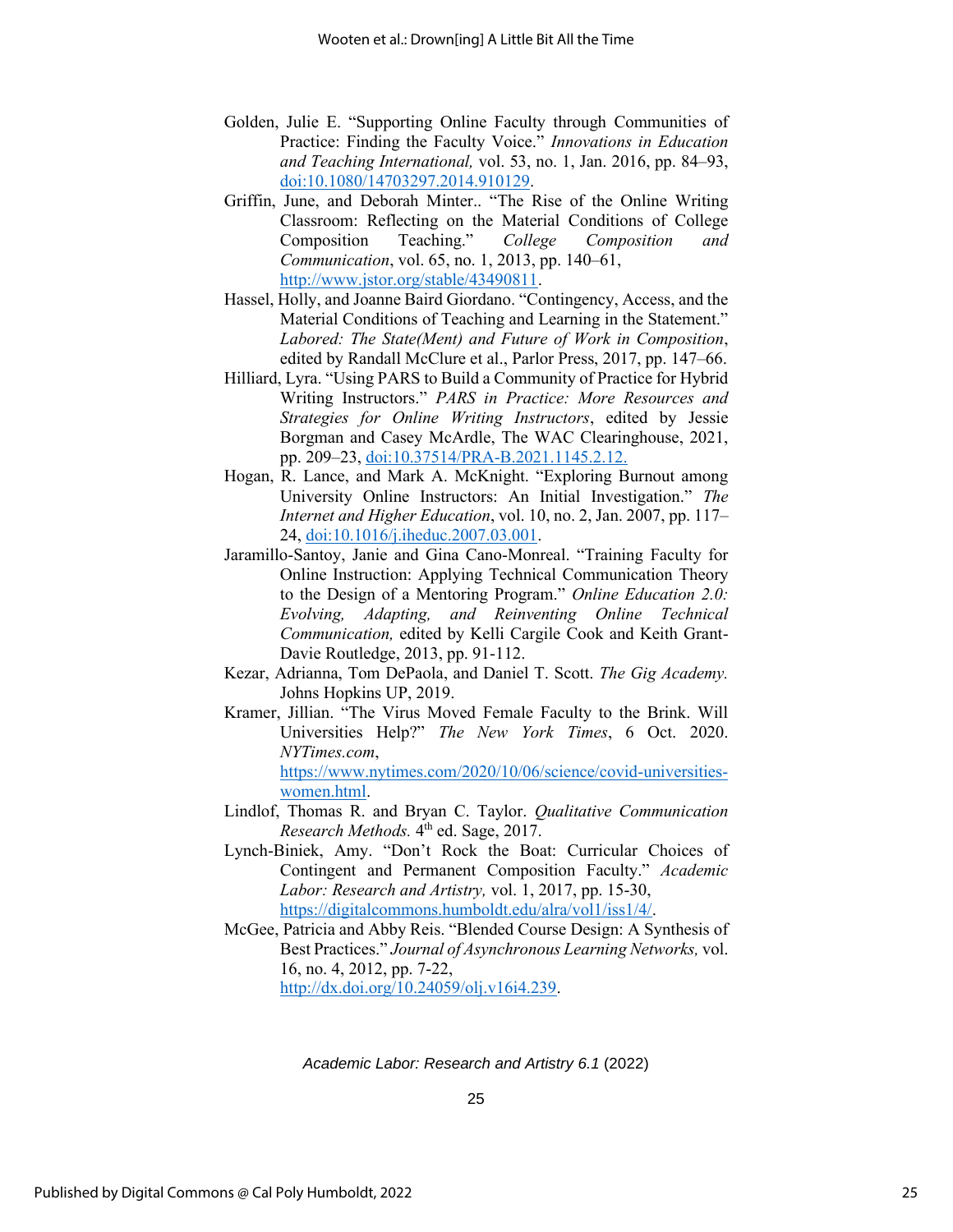- Golden, Julie E. "Supporting Online Faculty through Communities of Practice: Finding the Faculty Voice." *Innovations in Education and Teaching International,* vol. 53, no. 1, Jan. 2016, pp. 84–93, [doi:10.1080/14703297.2014.910129.](file://///Users/catherineratliff/Desktop/Golden,%20Julie%20E.%20)
- Griffin, June, and Deborah Minter.. "The Rise of the Online Writing Classroom: Reflecting on the Material Conditions of College Composition Teaching." *College Composition and Communication*, vol. 65, no. 1, 2013, pp. 140–61, [http://www.jstor.org/stable/43490811.](http://www.jstor.org/stable/43490811)
- Hassel, Holly, and Joanne Baird Giordano. "Contingency, Access, and the Material Conditions of Teaching and Learning in the Statement." *Labored: The State(Ment) and Future of Work in Composition*, edited by Randall McClure et al., Parlor Press, 2017, pp. 147–66.
- Hilliard, Lyra. "Using PARS to Build a Community of Practice for Hybrid Writing Instructors." *PARS in Practice: More Resources and Strategies for Online Writing Instructors*, edited by Jessie Borgman and Casey McArdle, The WAC Clearinghouse, 2021, pp. 209–23, [doi:10.37514/PRA-B.2021.1145.2.12.](https://wac.colostate.edu/docs/books/pars2/chapter12.pdf)
- Hogan, R. Lance, and Mark A. McKnight. "Exploring Burnout among University Online Instructors: An Initial Investigation." *The Internet and Higher Education*, vol. 10, no. 2, Jan. 2007, pp. 117– 24, [doi:10.1016/j.iheduc.2007.03.001.](http://www.cs.trinity.edu/rjensen/EdTech/Miscellaneous/Burnout.pdf)
- Jaramillo-Santoy, Janie and Gina Cano-Monreal. "Training Faculty for Online Instruction: Applying Technical Communication Theory to the Design of a Mentoring Program." *Online Education 2.0: Evolving, Adapting, and Reinventing Online Technical Communication,* edited by Kelli Cargile Cook and Keith Grant-Davie Routledge, 2013, pp. 91-112.
- Kezar, Adrianna, Tom DePaola, and Daniel T. Scott. *The Gig Academy.*  Johns Hopkins UP, 2019.
- Kramer, Jillian. "The Virus Moved Female Faculty to the Brink. Will Universities Help?" *The New York Times*, 6 Oct. 2020. *NYTimes.com*, [https://www.nytimes.com/2020/10/06/science/covid-universities](https://www.nytimes.com/2020/10/06/science/covid-universities-women.html)[women.html.](https://www.nytimes.com/2020/10/06/science/covid-universities-women.html)
- Lindlof, Thomas R. and Bryan C. Taylor. *Qualitative Communication*  Research Methods. 4<sup>th</sup> ed. Sage, 2017.
- Lynch-Biniek, Amy. "Don't Rock the Boat: Curricular Choices of Contingent and Permanent Composition Faculty." *Academic Labor: Research and Artistry,* vol. 1, 2017, pp. 15-30, [https://digitalcommons.humboldt.edu/alra/vol1/iss1/4/.](https://digitalcommons.humboldt.edu/alra/vol1/iss1/4/)
- McGee, Patricia and Abby Reis. "Blended Course Design: A Synthesis of Best Practices." *Journal of Asynchronous Learning Networks,* vol. 16, no. 4, 2012, pp. 7-22, [http://dx.doi.org/10.24059/olj.v16i4.239.](http://dx.doi.org/10.24059/olj.v16i4.239)